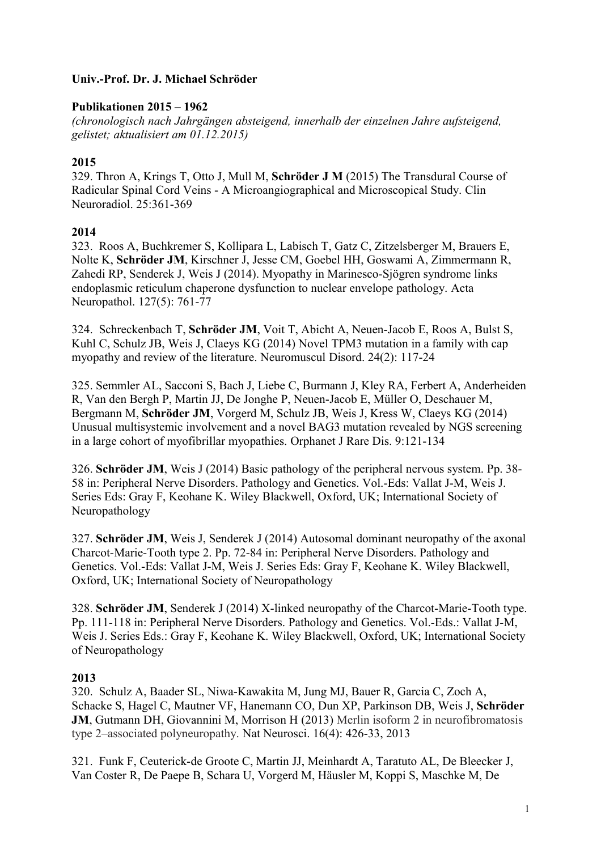### **Univ.-Prof. Dr. J. Michael Schröder**

### **Publikationen 2015 – 1962**

*(chronologisch nach Jahrgängen absteigend, innerhalb der einzelnen Jahre aufsteigend, gelistet; aktualisiert am 01.12.2015)*

### **2015**

329. Thron A, Krings T, Otto J, Mull M, **Schröder J M** (2015) The Transdural Course of Radicular Spinal Cord Veins - A Microangiographical and Microscopical Study. Clin Neuroradiol. 25:361-369

### **2014**

323. Roos A, Buchkremer S, Kollipara L, Labisch T, Gatz C, Zitzelsberger M, Brauers E, Nolte K, **Schröder JM**, Kirschner J, Jesse CM, Goebel HH, Goswami A, Zimmermann R, Zahedi RP, Senderek J, Weis J (2014). Myopathy in Marinesco-Sjögren syndrome links endoplasmic reticulum chaperone dysfunction to nuclear envelope pathology. Acta Neuropathol. 127(5): 761-77

324. Schreckenbach T, **Schröder JM**, Voit T, Abicht A, Neuen-Jacob E, Roos A, Bulst S, Kuhl C, Schulz JB, Weis J, Claeys KG (2014) Novel TPM3 mutation in a family with cap myopathy and review of the literature. Neuromuscul Disord. 24(2): 117-24

325. Semmler AL, Sacconi S, Bach J, Liebe C, Burmann J, Kley RA, Ferbert A, Anderheiden R, Van den Bergh P, Martin JJ, De Jonghe P, Neuen-Jacob E, Müller O, Deschauer M, Bergmann M, **Schröder JM**, Vorgerd M, Schulz JB, Weis J, Kress W, Claeys KG (2014) Unusual multisystemic involvement and a novel BAG3 mutation revealed by NGS screening in a large cohort of myofibrillar myopathies. Orphanet J Rare Dis. 9:121-134

326. **Schröder JM**, Weis J (2014) Basic pathology of the peripheral nervous system. Pp. 38- 58 in: Peripheral Nerve Disorders. Pathology and Genetics. Vol.-Eds: Vallat J-M, Weis J. Series Eds: Gray F, Keohane K. Wiley Blackwell, Oxford, UK; International Society of Neuropathology

327. **Schröder JM**, Weis J, Senderek J (2014) Autosomal dominant neuropathy of the axonal Charcot-Marie-Tooth type 2. Pp. 72-84 in: Peripheral Nerve Disorders. Pathology and Genetics. Vol.-Eds: Vallat J-M, Weis J. Series Eds: Gray F, Keohane K. Wiley Blackwell, Oxford, UK; International Society of Neuropathology

328. **Schröder JM**, Senderek J (2014) X-linked neuropathy of the Charcot-Marie-Tooth type. Pp. 111-118 in: Peripheral Nerve Disorders. Pathology and Genetics. Vol.-Eds.: Vallat J-M, Weis J. Series Eds.: Gray F, Keohane K. Wiley Blackwell, Oxford, UK; International Society of Neuropathology

#### **2013**

320. Schulz A, Baader SL, Niwa-Kawakita M, Jung MJ, Bauer R, Garcia C, Zoch A, Schacke S, Hagel C, Mautner VF, Hanemann CO, Dun XP, Parkinson DB, Weis J, **Schröder JM**, Gutmann DH, Giovannini M, Morrison H (2013) Merlin isoform 2 in neurofibromatosis type 2–associated polyneuropathy. Nat Neurosci. 16(4): 426-33, 2013

321. Funk F, Ceuterick-de Groote C, Martin JJ, Meinhardt A, Taratuto AL, De Bleecker J, Van Coster R, De Paepe B, Schara U, Vorgerd M, Häusler M, Koppi S, Maschke M, De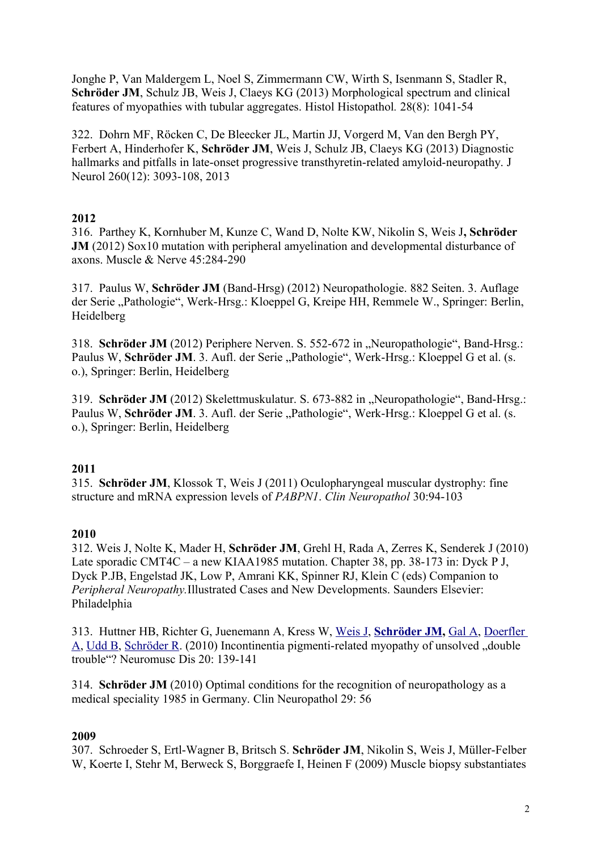Jonghe P, Van Maldergem L, Noel S, Zimmermann CW, Wirth S, Isenmann S, Stadler R, **Schröder JM**, Schulz JB, Weis J, Claeys KG (2013) Morphological spectrum and clinical features of myopathies with tubular aggregates. Histol Histopathol*.* 28(8): 1041-54

322. Dohrn MF, Röcken C, De Bleecker JL, Martin JJ, Vorgerd M, Van den Bergh PY, Ferbert A, Hinderhofer K, **Schröder JM**, Weis J, Schulz JB, Claeys KG (2013) Diagnostic hallmarks and pitfalls in late-onset progressive transthyretin-related amyloid-neuropathy. J Neurol 260(12): 3093-108, 2013

### **2012**

316. Parthey K, Kornhuber M, Kunze C, Wand D, Nolte KW, Nikolin S, Weis J**, Schröder JM** (2012) Sox10 mutation with peripheral amyelination and developmental disturbance of axons. Muscle & Nerve 45:284-290

317. Paulus W, **Schröder JM** (Band-Hrsg) (2012) Neuropathologie. 882 Seiten. 3. Auflage der Serie "Pathologie", Werk-Hrsg.: Kloeppel G, Kreipe HH, Remmele W., Springer: Berlin, Heidelberg

318. **Schröder JM** (2012) Periphere Nerven. S. 552-672 in "Neuropathologie", Band-Hrsg.: Paulus W, Schröder JM. 3. Aufl. der Serie "Pathologie", Werk-Hrsg.: Kloeppel G et al. (s. o.), Springer: Berlin, Heidelberg

319. **Schröder JM** (2012) Skelettmuskulatur. S. 673-882 in "Neuropathologie", Band-Hrsg.: Paulus W, Schröder JM. 3. Aufl. der Serie "Pathologie", Werk-Hrsg.: Kloeppel G et al. (s. o.), Springer: Berlin, Heidelberg

#### **2011**

315. **Schröder JM**, Klossok T, Weis J (2011) Oculopharyngeal muscular dystrophy: fine structure and mRNA expression levels of *PABPN1*. *Clin Neuropathol* 30:94-103

#### **2010**

312. Weis J, Nolte K, Mader H, **Schröder JM**, Grehl H, Rada A, Zerres K, Senderek J (2010) Late sporadic CMT4C – a new KIAA1985 mutation. Chapter 38, pp. 38-173 in: Dyck P J, Dyck P.JB, Engelstad JK, Low P, Amrani KK, Spinner RJ, Klein C (eds) Companion to *Peripheral Neuropathy.*Illustrated Cases and New Developments. Saunders Elsevier: Philadelphia

313. Huttner HB, Richter G, Juenemann A, Kress W, [Weis J,](http://www.ncbi.nlm.nih.gov/pubmed?term=Weis%20J%5BAuthor%5D&cauthor=true&cauthor_uid=20064724) **[Schröder JM,](http://www.ncbi.nlm.nih.gov/pubmed?term=Schr%C3%B6der%20JM%5BAuthor%5D&cauthor=true&cauthor_uid=20064724)** [Gal A,](http://www.ncbi.nlm.nih.gov/pubmed?term=Gal%20A%5BAuthor%5D&cauthor=true&cauthor_uid=20064724) [Doerfler](http://www.ncbi.nlm.nih.gov/pubmed?term=Doerfler%20A%5BAuthor%5D&cauthor=true&cauthor_uid=20064724) [A,](http://www.ncbi.nlm.nih.gov/pubmed?term=Doerfler%20A%5BAuthor%5D&cauthor=true&cauthor_uid=20064724) [Udd B,](http://www.ncbi.nlm.nih.gov/pubmed?term=Udd%20B%5BAuthor%5D&cauthor=true&cauthor_uid=20064724) [Schröder R.](http://www.ncbi.nlm.nih.gov/pubmed?term=Schr%C3%B6der%20R%5BAuthor%5D&cauthor=true&cauthor_uid=20064724) (2010) Incontinentia pigmenti-related myopathy of unsolved "double trouble"? Neuromusc Dis 20: 139-141

314. **Schröder JM** (2010) Optimal conditions for the recognition of neuropathology as a medical speciality 1985 in Germany. Clin Neuropathol 29: 56

## **2009**

307. Schroeder S, Ertl-Wagner B, Britsch S. **Schröder JM**, Nikolin S, Weis J, Müller-Felber W, Koerte I, Stehr M, Berweck S, Borggraefe I, Heinen F (2009) Muscle biopsy substantiates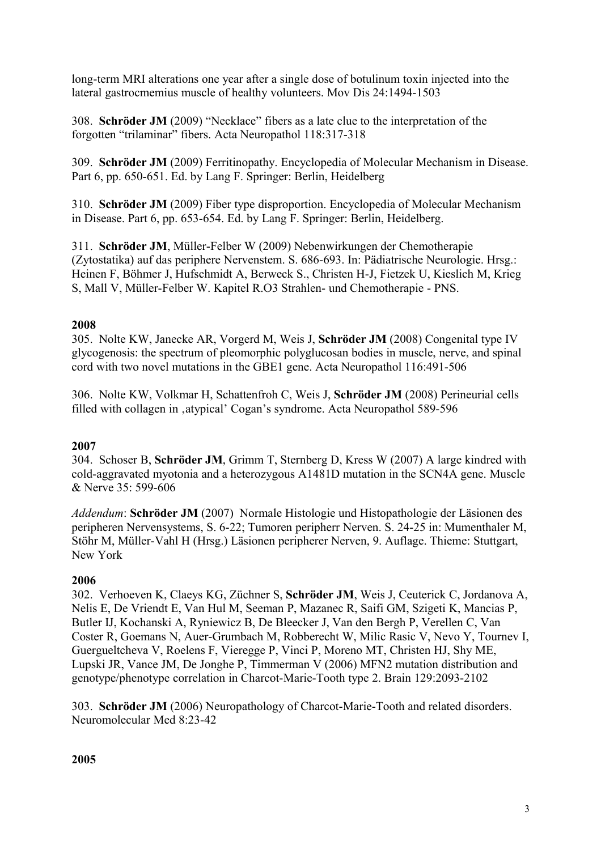long-term MRI alterations one year after a single dose of botulinum toxin injected into the lateral gastrocmemius muscle of healthy volunteers. Mov Dis 24:1494-1503

308. **Schröder JM** (2009) "Necklace" fibers as a late clue to the interpretation of the forgotten "trilaminar" fibers. Acta Neuropathol 118:317-318

309. **Schröder JM** (2009) Ferritinopathy. Encyclopedia of Molecular Mechanism in Disease. Part 6, pp. 650-651. Ed. by Lang F. Springer: Berlin, Heidelberg

310. **Schröder JM** (2009) Fiber type disproportion. Encyclopedia of Molecular Mechanism in Disease. Part 6, pp. 653-654. Ed. by Lang F. Springer: Berlin, Heidelberg.

311. **Schröder JM**, Müller-Felber W (2009) Nebenwirkungen der Chemotherapie (Zytostatika) auf das periphere Nervenstem. S. 686-693. In: Pädiatrische Neurologie. Hrsg.: Heinen F, Böhmer J, Hufschmidt A, Berweck S., Christen H-J, Fietzek U, Kieslich M, Krieg S, Mall V, Müller-Felber W. Kapitel R.O3 Strahlen- und Chemotherapie - PNS.

## **2008**

305. Nolte KW, Janecke AR, Vorgerd M, Weis J, **Schröder JM** (2008) Congenital type IV glycogenosis: the spectrum of pleomorphic polyglucosan bodies in muscle, nerve, and spinal cord with two novel mutations in the GBE1 gene. Acta Neuropathol 116:491-506

306. Nolte KW, Volkmar H, Schattenfroh C, Weis J, **Schröder JM** (2008) Perineurial cells filled with collagen in , atypical' Cogan's syndrome. Acta Neuropathol 589-596

## **2007**

304. Schoser B, **Schröder JM**, Grimm T, Sternberg D, Kress W (2007) A large kindred with cold-aggravated myotonia and a heterozygous A1481D mutation in the SCN4A gene. Muscle & Nerve 35: 599-606

*Addendum*: **Schröder JM** (2007) Normale Histologie und Histopathologie der Läsionen des peripheren Nervensystems, S. 6-22; Tumoren peripherr Nerven. S. 24-25 in: Mumenthaler M, Stöhr M, Müller-Vahl H (Hrsg.) Läsionen peripherer Nerven, 9. Auflage. Thieme: Stuttgart, New York

## **2006**

302. Verhoeven K, Claeys KG, Züchner S, **Schröder JM**, Weis J, Ceuterick C, Jordanova A, Nelis E, De Vriendt E, Van Hul M, Seeman P, Mazanec R, Saifi GM, Szigeti K, Mancias P, Butler IJ, Kochanski A, Ryniewicz B, De Bleecker J, Van den Bergh P, Verellen C, Van Coster R, Goemans N, Auer-Grumbach M, Robberecht W, Milic Rasic V, Nevo Y, Tournev I, Guergueltcheva V, Roelens F, Vieregge P, Vinci P, Moreno MT, Christen HJ, Shy ME, Lupski JR, Vance JM, De Jonghe P, Timmerman V (2006) MFN2 mutation distribution and genotype/phenotype correlation in Charcot-Marie-Tooth type 2. Brain 129:2093-2102

303. **Schröder JM** (2006) Neuropathology of Charcot-Marie-Tooth and related disorders. Neuromolecular Med 8:23-42

#### **2005**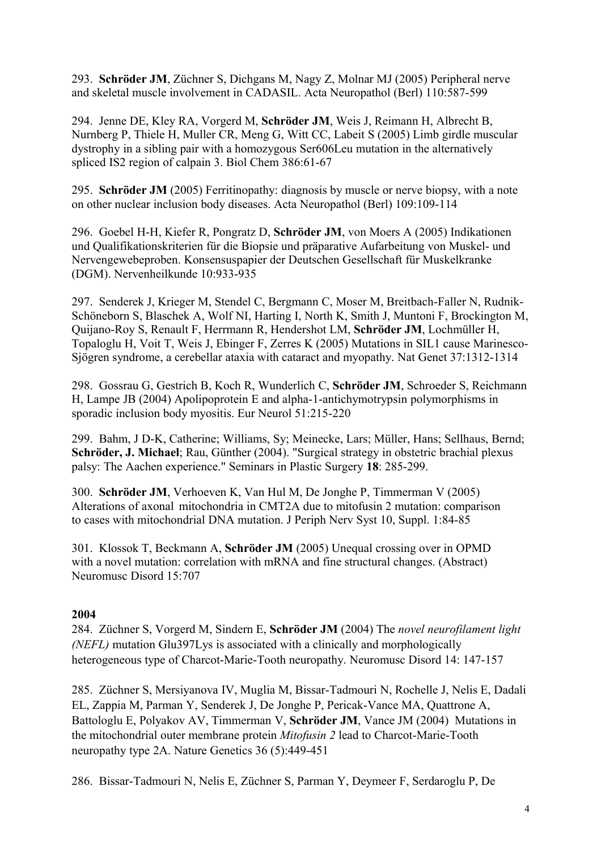293. **Schröder JM**, Züchner S, Dichgans M, Nagy Z, Molnar MJ (2005) Peripheral nerve and skeletal muscle involvement in CADASIL. Acta Neuropathol (Berl) 110:587-599

294. Jenne DE, Kley RA, Vorgerd M, **Schröder JM**, Weis J, Reimann H, Albrecht B, Nurnberg P, Thiele H, Muller CR, Meng G, Witt CC, Labeit S (2005) Limb girdle muscular dystrophy in a sibling pair with a homozygous Ser606Leu mutation in the alternatively spliced IS2 region of calpain 3. Biol Chem 386:61-67

295. **Schröder JM** (2005) Ferritinopathy: diagnosis by muscle or nerve biopsy, with a note on other nuclear inclusion body diseases. Acta Neuropathol (Berl) 109:109-114

296. Goebel H-H, Kiefer R, Pongratz D, **Schröder JM**, von Moers A (2005) Indikationen und Qualifikationskriterien für die Biopsie und präparative Aufarbeitung von Muskel- und Nervengewebeproben. Konsensuspapier der Deutschen Gesellschaft für Muskelkranke (DGM). Nervenheilkunde 10:933-935

297. Senderek J, Krieger M, Stendel C, Bergmann C, Moser M, Breitbach-Faller N, Rudnik-Schöneborn S, Blaschek A, Wolf NI, Harting I, North K, Smith J, Muntoni F, Brockington M, Quijano-Roy S, Renault F, Herrmann R, Hendershot LM, **Schröder JM**, Lochmüller H, Topaloglu H, Voit T, Weis J, Ebinger F, Zerres K (2005) Mutations in SIL1 cause Marinesco-Sjögren syndrome, a cerebellar ataxia with cataract and myopathy. Nat Genet 37:1312-1314

298. Gossrau G, Gestrich B, Koch R, Wunderlich C, **Schröder JM**, Schroeder S, Reichmann H, Lampe JB (2004) Apolipoprotein E and alpha-1-antichymotrypsin polymorphisms in sporadic inclusion body myositis. Eur Neurol 51:215-220

299. Bahm, J D-K, Catherine; Williams, Sy; Meinecke, Lars; Müller, Hans; Sellhaus, Bernd; **Schröder, J. Michael**; Rau, Günther (2004). "Surgical strategy in obstetric brachial plexus palsy: The Aachen experience." Seminars in Plastic Surgery **18**: 285-299.

300. **Schröder JM**, Verhoeven K, Van Hul M, De Jonghe P, Timmerman V (2005) Alterations of axonal mitochondria in CMT2A due to mitofusin 2 mutation: comparison to cases with mitochondrial DNA mutation. J Periph Nerv Syst 10, Suppl. 1:84-85

301. Klossok T, Beckmann A, **Schröder JM** (2005) Unequal crossing over in OPMD with a novel mutation: correlation with mRNA and fine structural changes. (Abstract) Neuromusc Disord 15:707

#### **2004**

284. Züchner S, Vorgerd M, Sindern E, **Schröder JM** (2004) The *novel neurofilament light (NEFL)* mutation Glu397Lys is associated with a clinically and morphologically heterogeneous type of Charcot-Marie-Tooth neuropathy. Neuromusc Disord 14: 147-157

285. Züchner S, Mersiyanova IV, Muglia M, Bissar-Tadmouri N, Rochelle J, Nelis E, Dadali EL, Zappia M, Parman Y, Senderek J, De Jonghe P, Pericak-Vance MA, Quattrone A, Battologlu E, Polyakov AV, Timmerman V, **Schröder JM**, Vance JM (2004) Mutations in the mitochondrial outer membrane protein *Mitofusin 2* lead to Charcot-Marie-Tooth neuropathy type 2A. Nature Genetics 36 (5):449-451

286. Bissar-Tadmouri N, Nelis E, Züchner S, Parman Y, Deymeer F, Serdaroglu P, De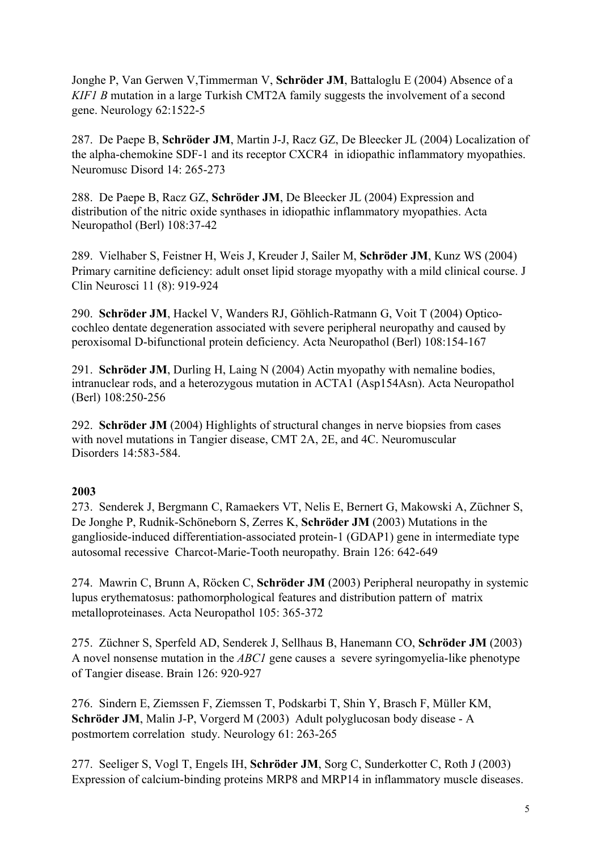Jonghe P, Van Gerwen V,Timmerman V, **Schröder JM**, Battaloglu E (2004) Absence of a *KIF1 B* mutation in a large Turkish CMT2A family suggests the involvement of a second gene. Neurology 62:1522-5

287. De Paepe B, **Schröder JM**, Martin J-J, Racz GZ, De Bleecker JL (2004) Localization of the alpha-chemokine SDF-1 and its receptor CXCR4 in idiopathic inflammatory myopathies. Neuromusc Disord 14: 265-273

288. De Paepe B, Racz GZ, **Schröder JM**, De Bleecker JL (2004) Expression and distribution of the nitric oxide synthases in idiopathic inflammatory myopathies. Acta Neuropathol (Berl) 108:37-42

289. Vielhaber S, Feistner H, Weis J, Kreuder J, Sailer M, **Schröder JM**, Kunz WS (2004) Primary carnitine deficiency: adult onset lipid storage myopathy with a mild clinical course. J Clin Neurosci 11 (8): 919-924

290. **Schröder JM**, Hackel V, Wanders RJ, Göhlich-Ratmann G, Voit T (2004) Opticocochleo dentate degeneration associated with severe peripheral neuropathy and caused by peroxisomal D-bifunctional protein deficiency. Acta Neuropathol (Berl) 108:154-167

291. **Schröder JM**, Durling H, Laing N (2004) Actin myopathy with nemaline bodies, intranuclear rods, and a heterozygous mutation in ACTA1 (Asp154Asn). Acta Neuropathol (Berl) 108:250-256

292. **Schröder JM** (2004) Highlights of structural changes in nerve biopsies from cases with novel mutations in Tangier disease, CMT 2A, 2E, and 4C. Neuromuscular Disorders 14:583-584.

## **2003**

273. Senderek J, Bergmann C, Ramaekers VT, Nelis E, Bernert G, Makowski A, Züchner S, De Jonghe P, Rudnik-Schöneborn S, Zerres K, **Schröder JM** (2003) Mutations in the ganglioside-induced differentiation-associated protein-1 (GDAP1) gene in intermediate type autosomal recessive Charcot-Marie-Tooth neuropathy. Brain 126: 642-649

274. Mawrin C, Brunn A, Röcken C, **Schröder JM** (2003) Peripheral neuropathy in systemic lupus erythematosus: pathomorphological features and distribution pattern of matrix metalloproteinases. Acta Neuropathol 105: 365-372

275. Züchner S, Sperfeld AD, Senderek J, Sellhaus B, Hanemann CO, **Schröder JM** (2003) A novel nonsense mutation in the *ABC1* gene causes a severe syringomyelia-like phenotype of Tangier disease. Brain 126: 920-927

276. Sindern E, Ziemssen F, Ziemssen T, Podskarbi T, Shin Y, Brasch F, Müller KM, **Schröder JM**, Malin J-P, Vorgerd M (2003) Adult polyglucosan body disease - A postmortem correlation study. Neurology 61: 263-265

277. Seeliger S, Vogl T, Engels IH, **Schröder JM**, Sorg C, Sunderkotter C, Roth J (2003) Expression of calcium-binding proteins MRP8 and MRP14 in inflammatory muscle diseases.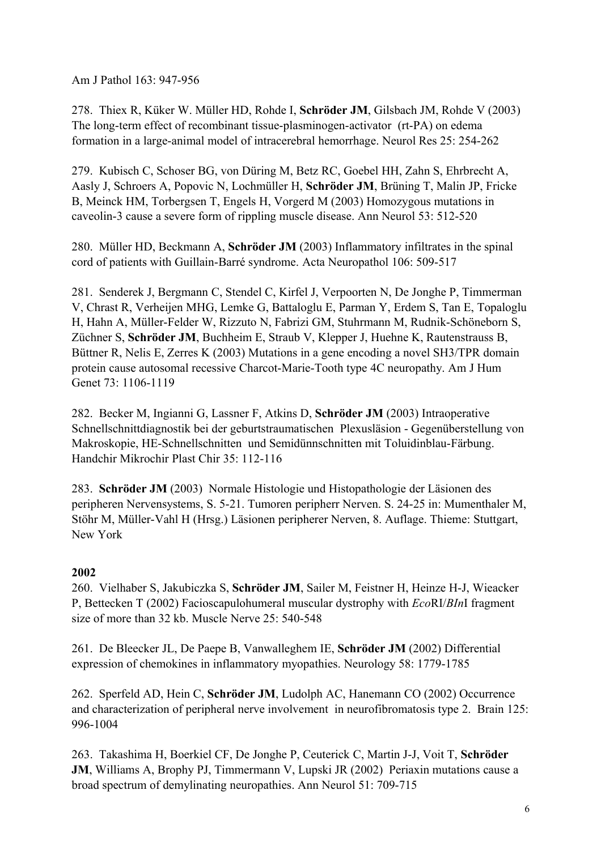Am J Pathol 163: 947-956

278. Thiex R, Küker W. Müller HD, Rohde I, **Schröder JM**, Gilsbach JM, Rohde V (2003) The long-term effect of recombinant tissue-plasminogen-activator (rt-PA) on edema formation in a large-animal model of intracerebral hemorrhage. Neurol Res 25: 254-262

279. Kubisch C, Schoser BG, von Düring M, Betz RC, Goebel HH, Zahn S, Ehrbrecht A, Aasly J, Schroers A, Popovic N, Lochmüller H, **Schröder JM**, Brüning T, Malin JP, Fricke B, Meinck HM, Torbergsen T, Engels H, Vorgerd M (2003) Homozygous mutations in caveolin-3 cause a severe form of rippling muscle disease. Ann Neurol 53: 512-520

280. Müller HD, Beckmann A, **Schröder JM** (2003) Inflammatory infiltrates in the spinal cord of patients with Guillain-Barré syndrome. Acta Neuropathol 106: 509-517

281. Senderek J, Bergmann C, Stendel C, Kirfel J, Verpoorten N, De Jonghe P, Timmerman V, Chrast R, Verheijen MHG, Lemke G, Battaloglu E, Parman Y, Erdem S, Tan E, Topaloglu H, Hahn A, Müller-Felder W, Rizzuto N, Fabrizi GM, Stuhrmann M, Rudnik-Schöneborn S, Züchner S, **Schröder JM**, Buchheim E, Straub V, Klepper J, Huehne K, Rautenstrauss B, Büttner R, Nelis E, Zerres K (2003) Mutations in a gene encoding a novel SH3/TPR domain protein cause autosomal recessive Charcot-Marie-Tooth type 4C neuropathy. Am J Hum Genet 73: 1106-1119

282. Becker M, Ingianni G, Lassner F, Atkins D, **Schröder JM** (2003) Intraoperative Schnellschnittdiagnostik bei der geburtstraumatischen Plexusläsion - Gegenüberstellung von Makroskopie, HE-Schnellschnitten und Semidünnschnitten mit Toluidinblau-Färbung. Handchir Mikrochir Plast Chir 35: 112-116

283. **Schröder JM** (2003) Normale Histologie und Histopathologie der Läsionen des peripheren Nervensystems, S. 5-21. Tumoren peripherr Nerven. S. 24-25 in: Mumenthaler M, Stöhr M, Müller-Vahl H (Hrsg.) Läsionen peripherer Nerven, 8. Auflage. Thieme: Stuttgart, New York

## **2002**

260. Vielhaber S, Jakubiczka S, **Schröder JM**, Sailer M, Feistner H, Heinze H-J, Wieacker P, Bettecken T (2002) Facioscapulohumeral muscular dystrophy with *Eco*RI/*BIn*I fragment size of more than 32 kb. Muscle Nerve 25: 540-548

261. De Bleecker JL, De Paepe B, Vanwalleghem IE, **Schröder JM** (2002) Differential expression of chemokines in inflammatory myopathies. Neurology 58: 1779-1785

262. Sperfeld AD, Hein C, **Schröder JM**, Ludolph AC, Hanemann CO (2002) Occurrence and characterization of peripheral nerve involvement in neurofibromatosis type 2. Brain 125: 996-1004

263. Takashima H, Boerkiel CF, De Jonghe P, Ceuterick C, Martin J-J, Voit T, **Schröder JM**, Williams A, Brophy PJ, Timmermann V, Lupski JR (2002) Periaxin mutations cause a broad spectrum of demylinating neuropathies. Ann Neurol 51: 709-715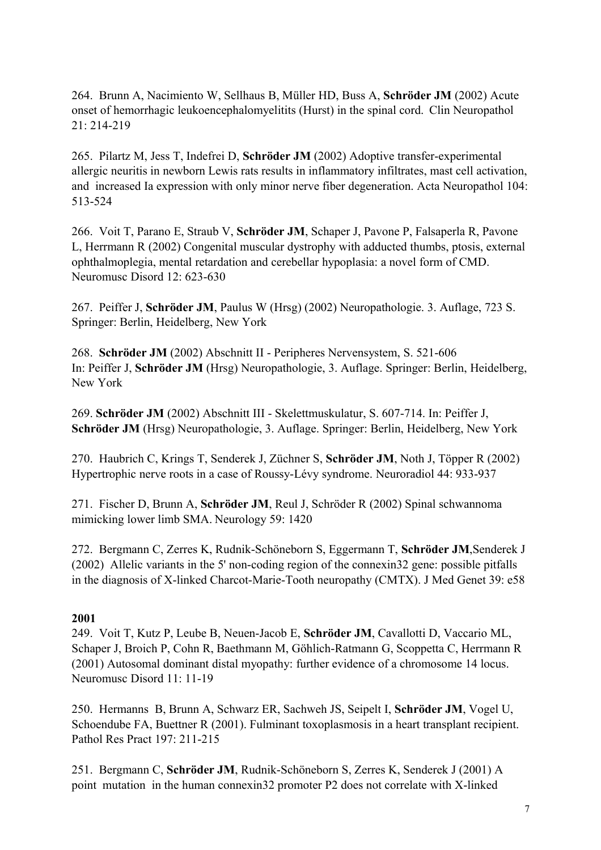264. Brunn A, Nacimiento W, Sellhaus B, Müller HD, Buss A, **Schröder JM** (2002) Acute onset of hemorrhagic leukoencephalomyelitits (Hurst) in the spinal cord. Clin Neuropathol 21: 214-219

265. Pilartz M, Jess T, Indefrei D, **Schröder JM** (2002) Adoptive transfer-experimental allergic neuritis in newborn Lewis rats results in inflammatory infiltrates, mast cell activation, and increased Ia expression with only minor nerve fiber degeneration. Acta Neuropathol 104: 513-524

266. Voit T, Parano E, Straub V, **Schröder JM**, Schaper J, Pavone P, Falsaperla R, Pavone L, Herrmann R (2002) Congenital muscular dystrophy with adducted thumbs, ptosis, external ophthalmoplegia, mental retardation and cerebellar hypoplasia: a novel form of CMD. Neuromusc Disord 12: 623-630

267. Peiffer J, **Schröder JM**, Paulus W (Hrsg) (2002) Neuropathologie. 3. Auflage, 723 S. Springer: Berlin, Heidelberg, New York

268. **Schröder JM** (2002) Abschnitt II - Peripheres Nervensystem, S. 521-606 In: Peiffer J, **Schröder JM** (Hrsg) Neuropathologie, 3. Auflage. Springer: Berlin, Heidelberg, New York

269. **Schröder JM** (2002) Abschnitt III - Skelettmuskulatur, S. 607-714. In: Peiffer J, **Schröder JM** (Hrsg) Neuropathologie, 3. Auflage. Springer: Berlin, Heidelberg, New York

270. Haubrich C, Krings T, Senderek J, Züchner S, **Schröder JM**, Noth J, Töpper R (2002) Hypertrophic nerve roots in a case of Roussy-Lévy syndrome. Neuroradiol 44: 933-937

271. Fischer D, Brunn A, **Schröder JM**, Reul J, Schröder R (2002) Spinal schwannoma mimicking lower limb SMA. Neurology 59: 1420

272. Bergmann C, Zerres K, Rudnik-Schöneborn S, Eggermann T, **Schröder JM**,Senderek J (2002) Allelic variants in the 5' non-coding region of the connexin32 gene: possible pitfalls in the diagnosis of X-linked Charcot-Marie-Tooth neuropathy (CMTX). J Med Genet 39: e58

#### **2001**

249. Voit T, Kutz P, Leube B, Neuen-Jacob E, **Schröder JM**, Cavallotti D, Vaccario ML, Schaper J, Broich P, Cohn R, Baethmann M, Göhlich-Ratmann G, Scoppetta C, Herrmann R (2001) Autosomal dominant distal myopathy: further evidence of a chromosome 14 locus. Neuromusc Disord 11: 11-19

250. Hermanns B, Brunn A, Schwarz ER, Sachweh JS, Seipelt I, **Schröder JM**, Vogel U, Schoendube FA, Buettner R (2001). Fulminant toxoplasmosis in a heart transplant recipient. Pathol Res Pract 197: 211-215

251. Bergmann C, **Schröder JM**, Rudnik-Schöneborn S, Zerres K, Senderek J (2001) A point mutation in the human connexin32 promoter P2 does not correlate with X-linked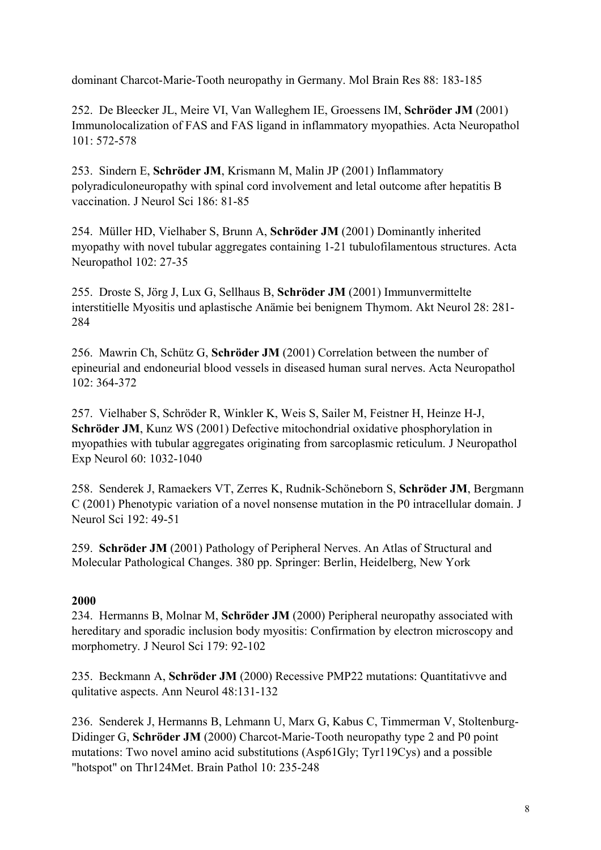dominant Charcot-Marie-Tooth neuropathy in Germany. Mol Brain Res 88: 183-185

252. De Bleecker JL, Meire VI, Van Walleghem IE, Groessens IM, **Schröder JM** (2001) Immunolocalization of FAS and FAS ligand in inflammatory myopathies. Acta Neuropathol 101: 572-578

253. Sindern E, **Schröder JM**, Krismann M, Malin JP (2001) Inflammatory polyradiculoneuropathy with spinal cord involvement and letal outcome after hepatitis B vaccination. J Neurol Sci 186: 81-85

254. Müller HD, Vielhaber S, Brunn A, **Schröder JM** (2001) Dominantly inherited myopathy with novel tubular aggregates containing 1-21 tubulofilamentous structures. Acta Neuropathol 102: 27-35

255. Droste S, Jörg J, Lux G, Sellhaus B, **Schröder JM** (2001) Immunvermittelte interstitielle Myositis und aplastische Anämie bei benignem Thymom. Akt Neurol 28: 281- 284

256. Mawrin Ch, Schütz G, **Schröder JM** (2001) Correlation between the number of epineurial and endoneurial blood vessels in diseased human sural nerves. Acta Neuropathol  $102 \cdot 364 - 372$ 

257. Vielhaber S, Schröder R, Winkler K, Weis S, Sailer M, Feistner H, Heinze H-J, **Schröder JM**, Kunz WS (2001) Defective mitochondrial oxidative phosphorylation in myopathies with tubular aggregates originating from sarcoplasmic reticulum. J Neuropathol Exp Neurol 60: 1032-1040

258. Senderek J, Ramaekers VT, Zerres K, Rudnik-Schöneborn S, **Schröder JM**, Bergmann C (2001) Phenotypic variation of a novel nonsense mutation in the P0 intracellular domain. J Neurol Sci 192: 49-51

259. **Schröder JM** (2001) Pathology of Peripheral Nerves. An Atlas of Structural and Molecular Pathological Changes. 380 pp. Springer: Berlin, Heidelberg, New York

## **2000**

234. Hermanns B, Molnar M, **Schröder JM** (2000) Peripheral neuropathy associated with hereditary and sporadic inclusion body myositis: Confirmation by electron microscopy and morphometry. J Neurol Sci 179: 92-102

235. Beckmann A, **Schröder JM** (2000) Recessive PMP22 mutations: Quantitativve and qulitative aspects. Ann Neurol 48:131-132

236. Senderek J, Hermanns B, Lehmann U, Marx G, Kabus C, Timmerman V, Stoltenburg-Didinger G, **Schröder JM** (2000) Charcot-Marie-Tooth neuropathy type 2 and P0 point mutations: Two novel amino acid substitutions (Asp61Gly; Tyr119Cys) and a possible "hotspot" on Thr124Met. Brain Pathol 10: 235-248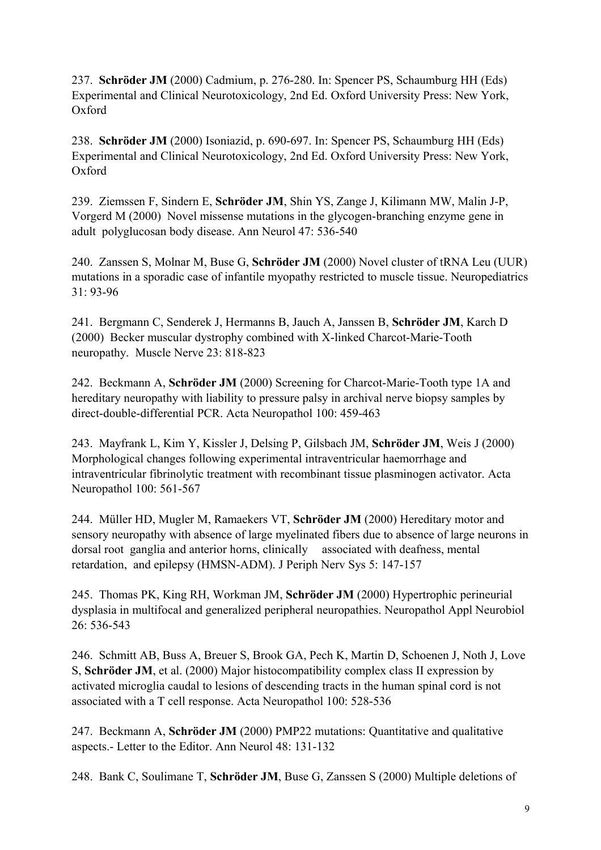237. **Schröder JM** (2000) Cadmium, p. 276-280. In: Spencer PS, Schaumburg HH (Eds) Experimental and Clinical Neurotoxicology, 2nd Ed. Oxford University Press: New York, Oxford

238. **Schröder JM** (2000) Isoniazid, p. 690-697. In: Spencer PS, Schaumburg HH (Eds) Experimental and Clinical Neurotoxicology, 2nd Ed. Oxford University Press: New York, Oxford

239. Ziemssen F, Sindern E, **Schröder JM**, Shin YS, Zange J, Kilimann MW, Malin J-P, Vorgerd M (2000) Novel missense mutations in the glycogen-branching enzyme gene in adult polyglucosan body disease. Ann Neurol 47: 536-540

240. Zanssen S, Molnar M, Buse G, **Schröder JM** (2000) Novel cluster of tRNA Leu (UUR) mutations in a sporadic case of infantile myopathy restricted to muscle tissue. Neuropediatrics 31: 93-96

241. Bergmann C, Senderek J, Hermanns B, Jauch A, Janssen B, **Schröder JM**, Karch D (2000) Becker muscular dystrophy combined with X-linked Charcot-Marie-Tooth neuropathy. Muscle Nerve 23: 818-823

242. Beckmann A, **Schröder JM** (2000) Screening for Charcot-Marie-Tooth type 1A and hereditary neuropathy with liability to pressure palsy in archival nerve biopsy samples by direct-double-differential PCR. Acta Neuropathol 100: 459-463

243. Mayfrank L, Kim Y, Kissler J, Delsing P, Gilsbach JM, **Schröder JM**, Weis J (2000) Morphological changes following experimental intraventricular haemorrhage and intraventricular fibrinolytic treatment with recombinant tissue plasminogen activator. Acta Neuropathol 100: 561-567

244. Müller HD, Mugler M, Ramaekers VT, **Schröder JM** (2000) Hereditary motor and sensory neuropathy with absence of large myelinated fibers due to absence of large neurons in dorsal root ganglia and anterior horns, clinically associated with deafness, mental retardation, and epilepsy (HMSN-ADM). J Periph Nerv Sys 5: 147-157

245. Thomas PK, King RH, Workman JM, **Schröder JM** (2000) Hypertrophic perineurial dysplasia in multifocal and generalized peripheral neuropathies. Neuropathol Appl Neurobiol  $26 \cdot 536 - 543$ 

246. Schmitt AB, Buss A, Breuer S, Brook GA, Pech K, Martin D, Schoenen J, Noth J, Love S, **Schröder JM**, et al. (2000) Major histocompatibility complex class II expression by activated microglia caudal to lesions of descending tracts in the human spinal cord is not associated with a T cell response. Acta Neuropathol 100: 528-536

247. Beckmann A, **Schröder JM** (2000) PMP22 mutations: Quantitative and qualitative aspects.- Letter to the Editor. Ann Neurol 48: 131-132

248. Bank C, Soulimane T, **Schröder JM**, Buse G, Zanssen S (2000) Multiple deletions of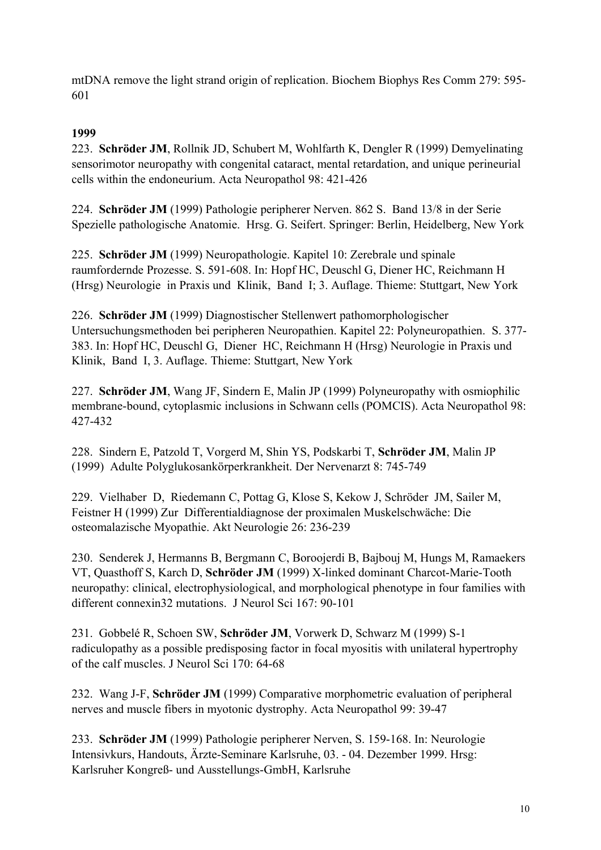mtDNA remove the light strand origin of replication. Biochem Biophys Res Comm 279: 595- 601

## **1999**

223. **Schröder JM**, Rollnik JD, Schubert M, Wohlfarth K, Dengler R (1999) Demyelinating sensorimotor neuropathy with congenital cataract, mental retardation, and unique perineurial cells within the endoneurium. Acta Neuropathol 98: 421-426

224. **Schröder JM** (1999) Pathologie peripherer Nerven. 862 S. Band 13/8 in der Serie Spezielle pathologische Anatomie. Hrsg. G. Seifert. Springer: Berlin, Heidelberg, New York

225. **Schröder JM** (1999) Neuropathologie. Kapitel 10: Zerebrale und spinale raumfordernde Prozesse. S. 591-608. In: Hopf HC, Deuschl G, Diener HC, Reichmann H (Hrsg) Neurologie in Praxis und Klinik, Band I; 3. Auflage. Thieme: Stuttgart, New York

226. **Schröder JM** (1999) Diagnostischer Stellenwert pathomorphologischer Untersuchungsmethoden bei peripheren Neuropathien. Kapitel 22: Polyneuropathien. S. 377- 383. In: Hopf HC, Deuschl G, Diener HC, Reichmann H (Hrsg) Neurologie in Praxis und Klinik, Band I, 3. Auflage. Thieme: Stuttgart, New York

227. **Schröder JM**, Wang JF, Sindern E, Malin JP (1999) Polyneuropathy with osmiophilic membrane-bound, cytoplasmic inclusions in Schwann cells (POMCIS). Acta Neuropathol 98: 427-432

228. Sindern E, Patzold T, Vorgerd M, Shin YS, Podskarbi T, **Schröder JM**, Malin JP (1999) Adulte Polyglukosankörperkrankheit. Der Nervenarzt 8: 745-749

229. Vielhaber D, Riedemann C, Pottag G, Klose S, Kekow J, Schröder JM, Sailer M, Feistner H (1999) Zur Differentialdiagnose der proximalen Muskelschwäche: Die osteomalazische Myopathie. Akt Neurologie 26: 236-239

230. Senderek J, Hermanns B, Bergmann C, Boroojerdi B, Bajbouj M, Hungs M, Ramaekers VT, Quasthoff S, Karch D, **Schröder JM** (1999) X-linked dominant Charcot-Marie-Tooth neuropathy: clinical, electrophysiological, and morphological phenotype in four families with different connexin32 mutations. J Neurol Sci 167: 90-101

231. Gobbelé R, Schoen SW, **Schröder JM**, Vorwerk D, Schwarz M (1999) S-1 radiculopathy as a possible predisposing factor in focal myositis with unilateral hypertrophy of the calf muscles. J Neurol Sci 170: 64-68

232. Wang J-F, **Schröder JM** (1999) Comparative morphometric evaluation of peripheral nerves and muscle fibers in myotonic dystrophy. Acta Neuropathol 99: 39-47

233. **Schröder JM** (1999) Pathologie peripherer Nerven, S. 159-168. In: Neurologie Intensivkurs, Handouts, Ärzte-Seminare Karlsruhe, 03. - 04. Dezember 1999. Hrsg: Karlsruher Kongreß- und Ausstellungs-GmbH, Karlsruhe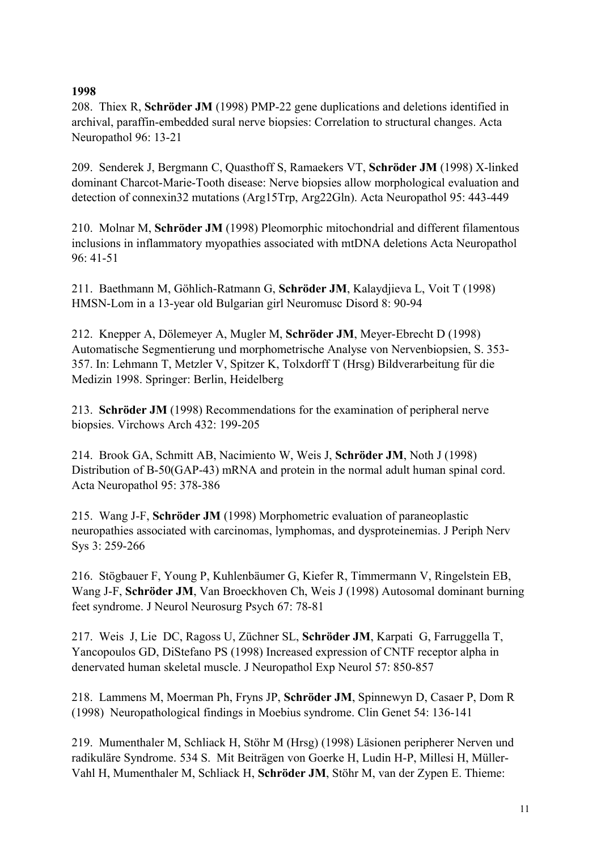### **1998**

208. Thiex R, **Schröder JM** (1998) PMP-22 gene duplications and deletions identified in archival, paraffin-embedded sural nerve biopsies: Correlation to structural changes. Acta Neuropathol 96: 13-21

209. Senderek J, Bergmann C, Quasthoff S, Ramaekers VT, **Schröder JM** (1998) X-linked dominant Charcot-Marie-Tooth disease: Nerve biopsies allow morphological evaluation and detection of connexin32 mutations (Arg15Trp, Arg22Gln). Acta Neuropathol 95: 443-449

210. Molnar M, **Schröder JM** (1998) Pleomorphic mitochondrial and different filamentous inclusions in inflammatory myopathies associated with mtDNA deletions Acta Neuropathol 96: 41-51

211. Baethmann M, Göhlich-Ratmann G, **Schröder JM**, Kalaydjieva L, Voit T (1998) HMSN-Lom in a 13-year old Bulgarian girl Neuromusc Disord 8: 90-94

212. Knepper A, Dölemeyer A, Mugler M, **Schröder JM**, Meyer-Ebrecht D (1998) Automatische Segmentierung und morphometrische Analyse von Nervenbiopsien, S. 353- 357. In: Lehmann T, Metzler V, Spitzer K, Tolxdorff T (Hrsg) Bildverarbeitung für die Medizin 1998. Springer: Berlin, Heidelberg

213. **Schröder JM** (1998) Recommendations for the examination of peripheral nerve biopsies. Virchows Arch 432: 199-205

214. Brook GA, Schmitt AB, Nacimiento W, Weis J, **Schröder JM**, Noth J (1998) Distribution of B-50(GAP-43) mRNA and protein in the normal adult human spinal cord. Acta Neuropathol 95: 378-386

215. Wang J-F, **Schröder JM** (1998) Morphometric evaluation of paraneoplastic neuropathies associated with carcinomas, lymphomas, and dysproteinemias. J Periph Nerv Sys 3: 259-266

216. Stögbauer F, Young P, Kuhlenbäumer G, Kiefer R, Timmermann V, Ringelstein EB, Wang J-F, **Schröder JM**, Van Broeckhoven Ch, Weis J (1998) Autosomal dominant burning feet syndrome. J Neurol Neurosurg Psych 67: 78-81

217. Weis J, Lie DC, Ragoss U, Züchner SL, **Schröder JM**, Karpati G, Farruggella T, Yancopoulos GD, DiStefano PS (1998) Increased expression of CNTF receptor alpha in denervated human skeletal muscle. J Neuropathol Exp Neurol 57: 850-857

218. Lammens M, Moerman Ph, Fryns JP, **Schröder JM**, Spinnewyn D, Casaer P, Dom R (1998) Neuropathological findings in Moebius syndrome. Clin Genet 54: 136-141

219. Mumenthaler M, Schliack H, Stöhr M (Hrsg) (1998) Läsionen peripherer Nerven und radikuläre Syndrome. 534 S. Mit Beiträgen von Goerke H, Ludin H-P, Millesi H, Müller-Vahl H, Mumenthaler M, Schliack H, **Schröder JM**, Stöhr M, van der Zypen E. Thieme: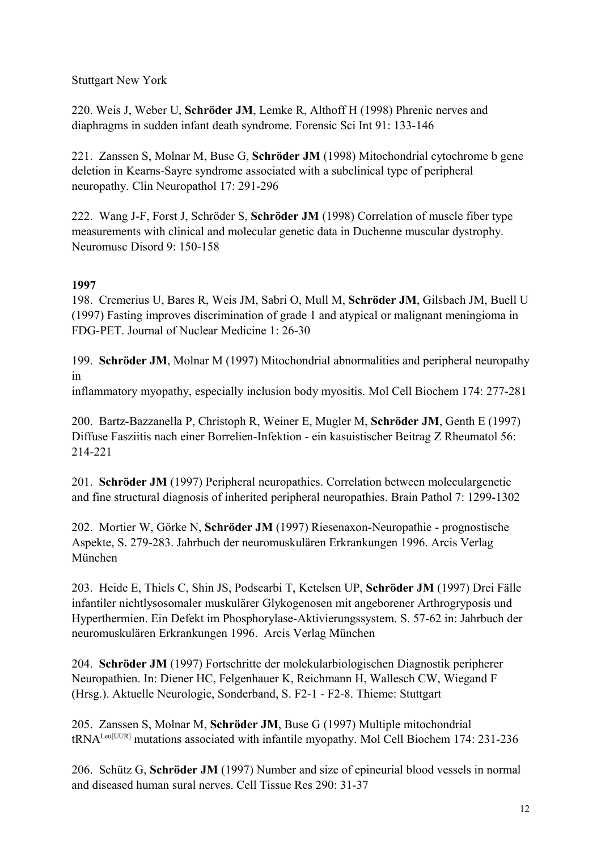## Stuttgart New York

220. Weis J, Weber U, **Schröder JM**, Lemke R, Althoff H (1998) Phrenic nerves and diaphragms in sudden infant death syndrome. Forensic Sci Int 91: 133-146

221. Zanssen S, Molnar M, Buse G, **Schröder JM** (1998) Mitochondrial cytochrome b gene deletion in Kearns-Sayre syndrome associated with a subclinical type of peripheral neuropathy. Clin Neuropathol 17: 291-296

222. Wang J-F, Forst J, Schröder S, **Schröder JM** (1998) Correlation of muscle fiber type measurements with clinical and molecular genetic data in Duchenne muscular dystrophy. Neuromusc Disord 9: 150-158

## **1997**

198. Cremerius U, Bares R, Weis JM, Sabri O, Mull M, **Schröder JM**, Gilsbach JM, Buell U (1997) Fasting improves discrimination of grade 1 and atypical or malignant meningioma in FDG-PET. Journal of Nuclear Medicine 1: 26-30

199. **Schröder JM**, Molnar M (1997) Mitochondrial abnormalities and peripheral neuropathy in

inflammatory myopathy, especially inclusion body myositis. Mol Cell Biochem 174: 277-281

200. Bartz-Bazzanella P, Christoph R, Weiner E, Mugler M, **Schröder JM**, Genth E (1997) Diffuse Fasziitis nach einer Borrelien-Infektion - ein kasuistischer Beitrag Z Rheumatol 56: 214-221

201. **Schröder JM** (1997) Peripheral neuropathies. Correlation between moleculargenetic and fine structural diagnosis of inherited peripheral neuropathies. Brain Pathol 7: 1299-1302

202. Mortier W, Görke N, **Schröder JM** (1997) Riesenaxon-Neuropathie - prognostische Aspekte, S. 279-283. Jahrbuch der neuromuskulären Erkrankungen 1996. Arcis Verlag München

203. Heide E, Thiels C, Shin JS, Podscarbi T, Ketelsen UP, **Schröder JM** (1997) Drei Fälle infantiler nichtlysosomaler muskulärer Glykogenosen mit angeborener Arthrogryposis und Hyperthermien. Ein Defekt im Phosphorylase-Aktivierungssystem. S. 57-62 in: Jahrbuch der neuromuskulären Erkrankungen 1996. Arcis Verlag München

204. **Schröder JM** (1997) Fortschritte der molekularbiologischen Diagnostik peripherer Neuropathien. In: Diener HC, Felgenhauer K, Reichmann H, Wallesch CW, Wiegand F (Hrsg.). Aktuelle Neurologie, Sonderband, S. F2-1 - F2-8. Thieme: Stuttgart

205. Zanssen S, Molnar M, **Schröder JM**, Buse G (1997) Multiple mitochondrial tRNALeu[UUR] mutations associated with infantile myopathy. Mol Cell Biochem 174: 231-236

206. Schütz G, **Schröder JM** (1997) Number and size of epineurial blood vessels in normal and diseased human sural nerves. Cell Tissue Res 290: 31-37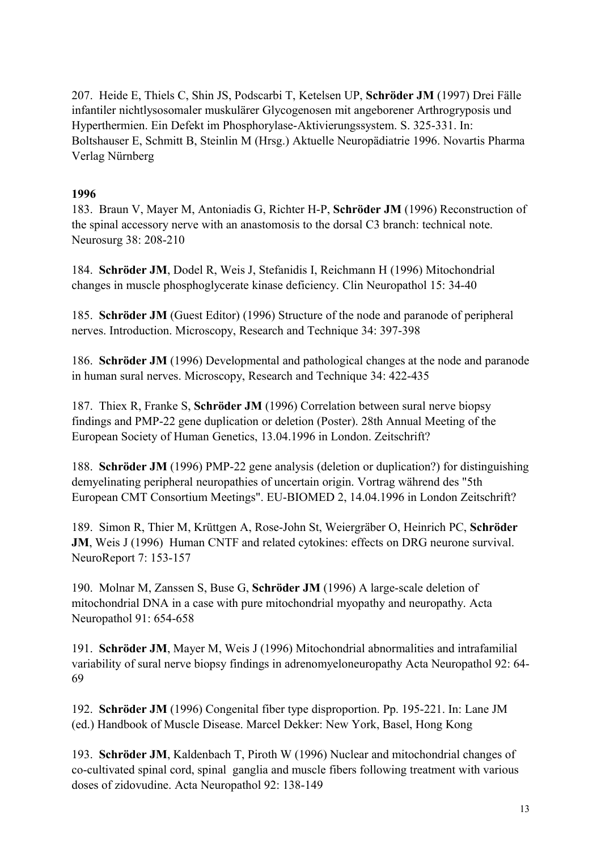207. Heide E, Thiels C, Shin JS, Podscarbi T, Ketelsen UP, **Schröder JM** (1997) Drei Fälle infantiler nichtlysosomaler muskulärer Glycogenosen mit angeborener Arthrogryposis und Hyperthermien. Ein Defekt im Phosphorylase-Aktivierungssystem. S. 325-331. In: Boltshauser E, Schmitt B, Steinlin M (Hrsg.) Aktuelle Neuropädiatrie 1996. Novartis Pharma Verlag Nürnberg

### **1996**

183. Braun V, Mayer M, Antoniadis G, Richter H-P, **Schröder JM** (1996) Reconstruction of the spinal accessory nerve with an anastomosis to the dorsal C3 branch: technical note. Neurosurg 38: 208-210

184. **Schröder JM**, Dodel R, Weis J, Stefanidis I, Reichmann H (1996) Mitochondrial changes in muscle phosphoglycerate kinase deficiency. Clin Neuropathol 15: 34-40

185. **Schröder JM** (Guest Editor) (1996) Structure of the node and paranode of peripheral nerves. Introduction. Microscopy, Research and Technique 34: 397-398

186. **Schröder JM** (1996) Developmental and pathological changes at the node and paranode in human sural nerves. Microscopy, Research and Technique 34: 422-435

187. Thiex R, Franke S, **Schröder JM** (1996) Correlation between sural nerve biopsy findings and PMP-22 gene duplication or deletion (Poster). 28th Annual Meeting of the European Society of Human Genetics, 13.04.1996 in London. Zeitschrift?

188. **Schröder JM** (1996) PMP-22 gene analysis (deletion or duplication?) for distinguishing demyelinating peripheral neuropathies of uncertain origin. Vortrag während des "5th European CMT Consortium Meetings". EU-BIOMED 2, 14.04.1996 in London Zeitschrift?

189. Simon R, Thier M, Krüttgen A, Rose-John St, Weiergräber O, Heinrich PC, **Schröder JM**, Weis J (1996) Human CNTF and related cytokines: effects on DRG neurone survival. NeuroReport 7: 153-157

190. Molnar M, Zanssen S, Buse G, **Schröder JM** (1996) A large-scale deletion of mitochondrial DNA in a case with pure mitochondrial myopathy and neuropathy. Acta Neuropathol 91: 654-658

191. **Schröder JM**, Mayer M, Weis J (1996) Mitochondrial abnormalities and intrafamilial variability of sural nerve biopsy findings in adrenomyeloneuropathy Acta Neuropathol 92: 64- 69

192. **Schröder JM** (1996) Congenital fiber type disproportion. Pp. 195-221. In: Lane JM (ed.) Handbook of Muscle Disease. Marcel Dekker: New York, Basel, Hong Kong

193. **Schröder JM**, Kaldenbach T, Piroth W (1996) Nuclear and mitochondrial changes of co-cultivated spinal cord, spinal ganglia and muscle fibers following treatment with various doses of zidovudine. Acta Neuropathol 92: 138-149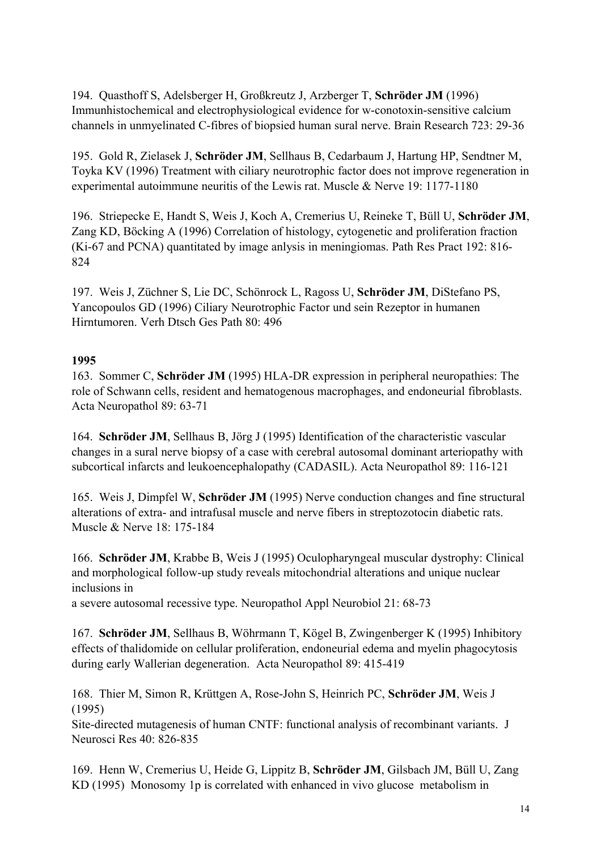194. Quasthoff S, Adelsberger H, Großkreutz J, Arzberger T, **Schröder JM** (1996) Immunhistochemical and electrophysiological evidence for w-conotoxin-sensitive calcium channels in unmyelinated C-fibres of biopsied human sural nerve. Brain Research 723: 29-36

195. Gold R, Zielasek J, **Schröder JM**, Sellhaus B, Cedarbaum J, Hartung HP, Sendtner M, Toyka KV (1996) Treatment with ciliary neurotrophic factor does not improve regeneration in experimental autoimmune neuritis of the Lewis rat. Muscle & Nerve 19: 1177-1180

196. Striepecke E, Handt S, Weis J, Koch A, Cremerius U, Reineke T, Büll U, **Schröder JM**, Zang KD, Böcking A (1996) Correlation of histology, cytogenetic and proliferation fraction (Ki-67 and PCNA) quantitated by image anlysis in meningiomas. Path Res Pract 192: 816- 824

197. Weis J, Züchner S, Lie DC, Schönrock L, Ragoss U, **Schröder JM**, DiStefano PS, Yancopoulos GD (1996) Ciliary Neurotrophic Factor und sein Rezeptor in humanen Hirntumoren. Verh Dtsch Ges Path 80: 496

### **1995**

163. Sommer C, **Schröder JM** (1995) HLA-DR expression in peripheral neuropathies: The role of Schwann cells, resident and hematogenous macrophages, and endoneurial fibroblasts. Acta Neuropathol 89: 63-71

164. **Schröder JM**, Sellhaus B, Jörg J (1995) Identification of the characteristic vascular changes in a sural nerve biopsy of a case with cerebral autosomal dominant arteriopathy with subcortical infarcts and leukoencephalopathy (CADASIL). Acta Neuropathol 89: 116-121

165. Weis J, Dimpfel W, **Schröder JM** (1995) Nerve conduction changes and fine structural alterations of extra- and intrafusal muscle and nerve fibers in streptozotocin diabetic rats. Muscle & Nerve 18: 175-184

166. **Schröder JM**, Krabbe B, Weis J (1995) Oculopharyngeal muscular dystrophy: Clinical and morphological follow-up study reveals mitochondrial alterations and unique nuclear inclusions in

a severe autosomal recessive type. Neuropathol Appl Neurobiol 21: 68-73

167. **Schröder JM**, Sellhaus B, Wöhrmann T, Kögel B, Zwingenberger K (1995) Inhibitory effects of thalidomide on cellular proliferation, endoneurial edema and myelin phagocytosis during early Wallerian degeneration. Acta Neuropathol 89: 415-419

168. Thier M, Simon R, Krüttgen A, Rose-John S, Heinrich PC, **Schröder JM**, Weis J (1995)

Site-directed mutagenesis of human CNTF: functional analysis of recombinant variants. J Neurosci Res 40: 826-835

169. Henn W, Cremerius U, Heide G, Lippitz B, **Schröder JM**, Gilsbach JM, Büll U, Zang KD (1995) Monosomy 1p is correlated with enhanced in vivo glucose metabolism in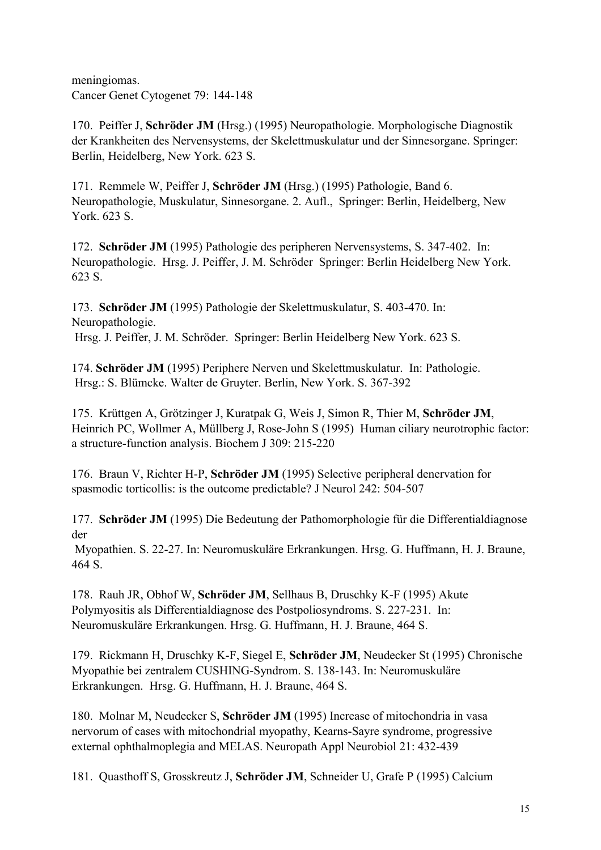meningiomas. Cancer Genet Cytogenet 79: 144-148

170. Peiffer J, **Schröder JM** (Hrsg.) (1995) Neuropathologie. Morphologische Diagnostik der Krankheiten des Nervensystems, der Skelettmuskulatur und der Sinnesorgane. Springer: Berlin, Heidelberg, New York. 623 S.

171. Remmele W, Peiffer J, **Schröder JM** (Hrsg.) (1995) Pathologie, Band 6. Neuropathologie, Muskulatur, Sinnesorgane. 2. Aufl., Springer: Berlin, Heidelberg, New York. 623 S.

172. **Schröder JM** (1995) Pathologie des peripheren Nervensystems, S. 347-402. In: Neuropathologie. Hrsg. J. Peiffer, J. M. Schröder Springer: Berlin Heidelberg New York. 623 S.

173. **Schröder JM** (1995) Pathologie der Skelettmuskulatur, S. 403-470. In: Neuropathologie.

Hrsg. J. Peiffer, J. M. Schröder. Springer: Berlin Heidelberg New York. 623 S.

174. **Schröder JM** (1995) Periphere Nerven und Skelettmuskulatur. In: Pathologie. Hrsg.: S. Blümcke. Walter de Gruyter. Berlin, New York. S. 367-392

175. Krüttgen A, Grötzinger J, Kuratpak G, Weis J, Simon R, Thier M, **Schröder JM**, Heinrich PC, Wollmer A, Müllberg J, Rose-John S (1995) Human ciliary neurotrophic factor: a structure-function analysis. Biochem J 309: 215-220

176. Braun V, Richter H-P, **Schröder JM** (1995) Selective peripheral denervation for spasmodic torticollis: is the outcome predictable? J Neurol 242: 504-507

177. **Schröder JM** (1995) Die Bedeutung der Pathomorphologie für die Differentialdiagnose der

 Myopathien. S. 22-27. In: Neuromuskuläre Erkrankungen. Hrsg. G. Huffmann, H. J. Braune, 464 S.

178. Rauh JR, Obhof W, **Schröder JM**, Sellhaus B, Druschky K-F (1995) Akute Polymyositis als Differentialdiagnose des Postpoliosyndroms. S. 227-231. In: Neuromuskuläre Erkrankungen. Hrsg. G. Huffmann, H. J. Braune, 464 S.

179. Rickmann H, Druschky K-F, Siegel E, **Schröder JM**, Neudecker St (1995) Chronische Myopathie bei zentralem CUSHING-Syndrom. S. 138-143. In: Neuromuskuläre Erkrankungen. Hrsg. G. Huffmann, H. J. Braune, 464 S.

180. Molnar M, Neudecker S, **Schröder JM** (1995) Increase of mitochondria in vasa nervorum of cases with mitochondrial myopathy, Kearns-Sayre syndrome, progressive external ophthalmoplegia and MELAS. Neuropath Appl Neurobiol 21: 432-439

181. Quasthoff S, Grosskreutz J, **Schröder JM**, Schneider U, Grafe P (1995) Calcium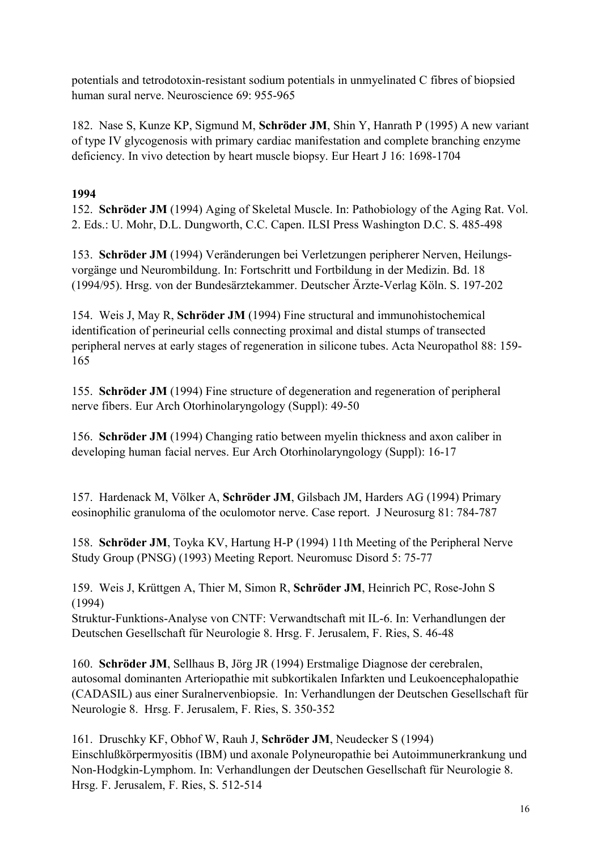potentials and tetrodotoxin-resistant sodium potentials in unmyelinated C fibres of biopsied human sural nerve. Neuroscience 69: 955-965

182. Nase S, Kunze KP, Sigmund M, **Schröder JM**, Shin Y, Hanrath P (1995) A new variant of type IV glycogenosis with primary cardiac manifestation and complete branching enzyme deficiency. In vivo detection by heart muscle biopsy. Eur Heart J 16: 1698-1704

## **1994**

152. **Schröder JM** (1994) Aging of Skeletal Muscle. In: Pathobiology of the Aging Rat. Vol. 2. Eds.: U. Mohr, D.L. Dungworth, C.C. Capen. ILSI Press Washington D.C. S. 485-498

153. **Schröder JM** (1994) Veränderungen bei Verletzungen peripherer Nerven, Heilungsvorgänge und Neurombildung. In: Fortschritt und Fortbildung in der Medizin. Bd. 18 (1994/95). Hrsg. von der Bundesärztekammer. Deutscher Ärzte-Verlag Köln. S. 197-202

154. Weis J, May R, **Schröder JM** (1994) Fine structural and immunohistochemical identification of perineurial cells connecting proximal and distal stumps of transected peripheral nerves at early stages of regeneration in silicone tubes. Acta Neuropathol 88: 159- 165

155. **Schröder JM** (1994) Fine structure of degeneration and regeneration of peripheral nerve fibers. Eur Arch Otorhinolaryngology (Suppl): 49-50

156. **Schröder JM** (1994) Changing ratio between myelin thickness and axon caliber in developing human facial nerves. Eur Arch Otorhinolaryngology (Suppl): 16-17

157. Hardenack M, Völker A, **Schröder JM**, Gilsbach JM, Harders AG (1994) Primary eosinophilic granuloma of the oculomotor nerve. Case report. J Neurosurg 81: 784-787

158. **Schröder JM**, Toyka KV, Hartung H-P (1994) 11th Meeting of the Peripheral Nerve Study Group (PNSG) (1993) Meeting Report. Neuromusc Disord 5: 75-77

159. Weis J, Krüttgen A, Thier M, Simon R, **Schröder JM**, Heinrich PC, Rose-John S (1994)

Struktur-Funktions-Analyse von CNTF: Verwandtschaft mit IL-6. In: Verhandlungen der Deutschen Gesellschaft für Neurologie 8. Hrsg. F. Jerusalem, F. Ries, S. 46-48

160. **Schröder JM**, Sellhaus B, Jörg JR (1994) Erstmalige Diagnose der cerebralen, autosomal dominanten Arteriopathie mit subkortikalen Infarkten und Leukoencephalopathie (CADASIL) aus einer Suralnervenbiopsie. In: Verhandlungen der Deutschen Gesellschaft für Neurologie 8. Hrsg. F. Jerusalem, F. Ries, S. 350-352

161. Druschky KF, Obhof W, Rauh J, **Schröder JM**, Neudecker S (1994) Einschlußkörpermyositis (IBM) und axonale Polyneuropathie bei Autoimmunerkrankung und Non-Hodgkin-Lymphom. In: Verhandlungen der Deutschen Gesellschaft für Neurologie 8. Hrsg. F. Jerusalem, F. Ries, S. 512-514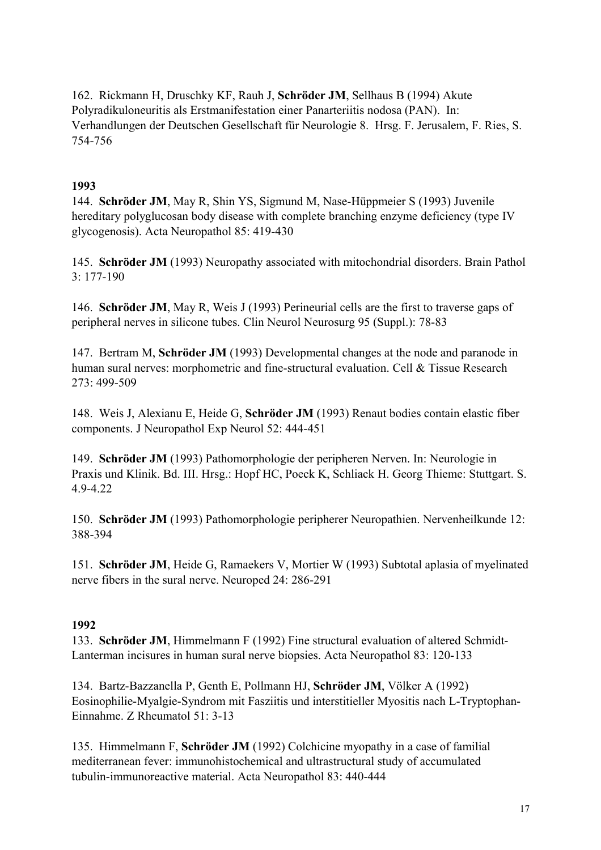162. Rickmann H, Druschky KF, Rauh J, **Schröder JM**, Sellhaus B (1994) Akute Polyradikuloneuritis als Erstmanifestation einer Panarteriitis nodosa (PAN). In: Verhandlungen der Deutschen Gesellschaft für Neurologie 8. Hrsg. F. Jerusalem, F. Ries, S. 754-756

### **1993**

144. **Schröder JM**, May R, Shin YS, Sigmund M, Nase-Hüppmeier S (1993) Juvenile hereditary polyglucosan body disease with complete branching enzyme deficiency (type IV glycogenosis). Acta Neuropathol 85: 419-430

145. **Schröder JM** (1993) Neuropathy associated with mitochondrial disorders. Brain Pathol 3: 177-190

146. **Schröder JM**, May R, Weis J (1993) Perineurial cells are the first to traverse gaps of peripheral nerves in silicone tubes. Clin Neurol Neurosurg 95 (Suppl.): 78-83

147. Bertram M, **Schröder JM** (1993) Developmental changes at the node and paranode in human sural nerves: morphometric and fine-structural evaluation. Cell & Tissue Research 273: 499-509

148. Weis J, Alexianu E, Heide G, **Schröder JM** (1993) Renaut bodies contain elastic fiber components. J Neuropathol Exp Neurol 52: 444-451

149. **Schröder JM** (1993) Pathomorphologie der peripheren Nerven. In: Neurologie in Praxis und Klinik. Bd. III. Hrsg.: Hopf HC, Poeck K, Schliack H. Georg Thieme: Stuttgart. S. 4.9-4.22

150. **Schröder JM** (1993) Pathomorphologie peripherer Neuropathien. Nervenheilkunde 12: 388-394

151. **Schröder JM**, Heide G, Ramaekers V, Mortier W (1993) Subtotal aplasia of myelinated nerve fibers in the sural nerve. Neuroped 24: 286-291

#### **1992**

133. **Schröder JM**, Himmelmann F (1992) Fine structural evaluation of altered Schmidt-Lanterman incisures in human sural nerve biopsies. Acta Neuropathol 83: 120-133

134. Bartz-Bazzanella P, Genth E, Pollmann HJ, **Schröder JM**, Völker A (1992) Eosinophilie-Myalgie-Syndrom mit Fasziitis und interstitieller Myositis nach L-Tryptophan-Einnahme. Z Rheumatol 51: 3-13

135. Himmelmann F, **Schröder JM** (1992) Colchicine myopathy in a case of familial mediterranean fever: immunohistochemical and ultrastructural study of accumulated tubulin-immunoreactive material. Acta Neuropathol 83: 440-444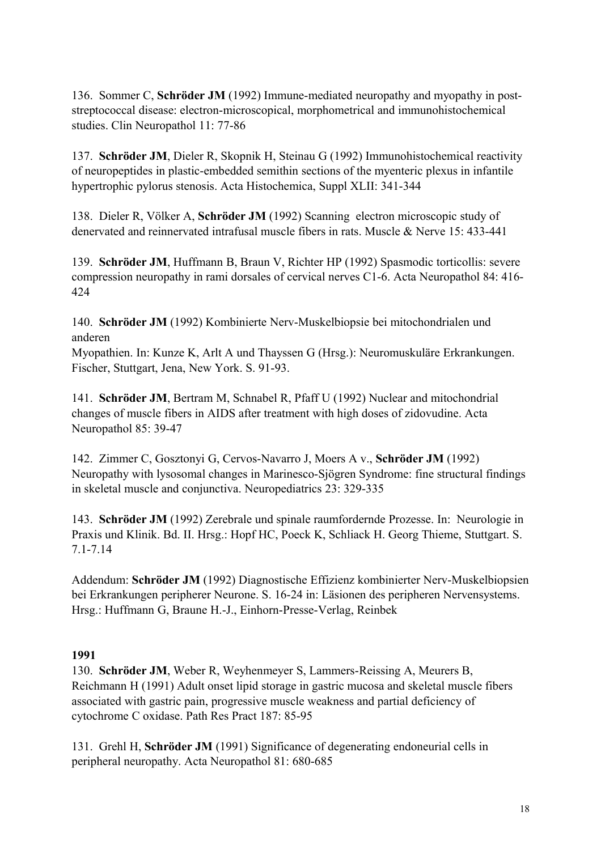136. Sommer C, **Schröder JM** (1992) Immune-mediated neuropathy and myopathy in poststreptococcal disease: electron-microscopical, morphometrical and immunohistochemical studies. Clin Neuropathol 11: 77-86

137. **Schröder JM**, Dieler R, Skopnik H, Steinau G (1992) Immunohistochemical reactivity of neuropeptides in plastic-embedded semithin sections of the myenteric plexus in infantile hypertrophic pylorus stenosis. Acta Histochemica, Suppl XLII: 341-344

138. Dieler R, Völker A, **Schröder JM** (1992) Scanning electron microscopic study of denervated and reinnervated intrafusal muscle fibers in rats. Muscle & Nerve 15: 433-441

139. **Schröder JM**, Huffmann B, Braun V, Richter HP (1992) Spasmodic torticollis: severe compression neuropathy in rami dorsales of cervical nerves C1-6. Acta Neuropathol 84: 416- 424

140. **Schröder JM** (1992) Kombinierte Nerv-Muskelbiopsie bei mitochondrialen und anderen

Myopathien. In: Kunze K, Arlt A und Thayssen G (Hrsg.): Neuromuskuläre Erkrankungen. Fischer, Stuttgart, Jena, New York. S. 91-93.

141. **Schröder JM**, Bertram M, Schnabel R, Pfaff U (1992) Nuclear and mitochondrial changes of muscle fibers in AIDS after treatment with high doses of zidovudine. Acta Neuropathol 85: 39-47

142. Zimmer C, Gosztonyi G, Cervos-Navarro J, Moers A v., **Schröder JM** (1992) Neuropathy with lysosomal changes in Marinesco-Sjögren Syndrome: fine structural findings in skeletal muscle and conjunctiva. Neuropediatrics 23: 329-335

143. **Schröder JM** (1992) Zerebrale und spinale raumfordernde Prozesse. In: Neurologie in Praxis und Klinik. Bd. II. Hrsg.: Hopf HC, Poeck K, Schliack H. Georg Thieme, Stuttgart. S. 7.1-7.14

Addendum: **Schröder JM** (1992) Diagnostische Effizienz kombinierter Nerv-Muskelbiopsien bei Erkrankungen peripherer Neurone. S. 16-24 in: Läsionen des peripheren Nervensystems. Hrsg.: Huffmann G, Braune H.-J., Einhorn-Presse-Verlag, Reinbek

## **1991**

130. **Schröder JM**, Weber R, Weyhenmeyer S, Lammers-Reissing A, Meurers B, Reichmann H (1991) Adult onset lipid storage in gastric mucosa and skeletal muscle fibers associated with gastric pain, progressive muscle weakness and partial deficiency of cytochrome C oxidase. Path Res Pract 187: 85-95

131. Grehl H, **Schröder JM** (1991) Significance of degenerating endoneurial cells in peripheral neuropathy. Acta Neuropathol 81: 680-685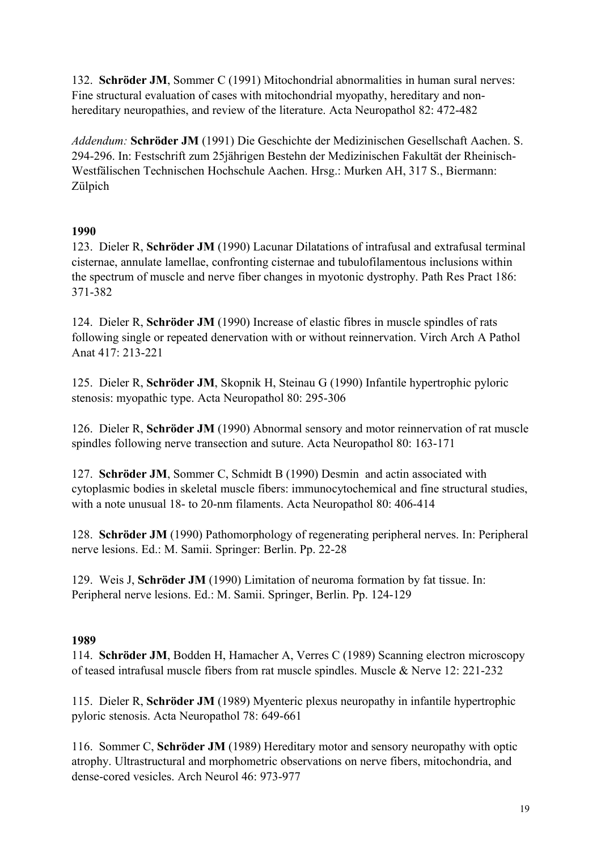132. **Schröder JM**, Sommer C (1991) Mitochondrial abnormalities in human sural nerves: Fine structural evaluation of cases with mitochondrial myopathy, hereditary and nonhereditary neuropathies, and review of the literature. Acta Neuropathol 82: 472-482

*Addendum:* **Schröder JM** (1991) Die Geschichte der Medizinischen Gesellschaft Aachen. S. 294-296. In: Festschrift zum 25jährigen Bestehn der Medizinischen Fakultät der Rheinisch-Westfälischen Technischen Hochschule Aachen. Hrsg.: Murken AH, 317 S., Biermann: Zülpich

### **1990**

123. Dieler R, **Schröder JM** (1990) Lacunar Dilatations of intrafusal and extrafusal terminal cisternae, annulate lamellae, confronting cisternae and tubulofilamentous inclusions within the spectrum of muscle and nerve fiber changes in myotonic dystrophy. Path Res Pract 186: 371-382

124. Dieler R, **Schröder JM** (1990) Increase of elastic fibres in muscle spindles of rats following single or repeated denervation with or without reinnervation. Virch Arch A Pathol Anat 417: 213-221

125. Dieler R, **Schröder JM**, Skopnik H, Steinau G (1990) Infantile hypertrophic pyloric stenosis: myopathic type. Acta Neuropathol 80: 295-306

126. Dieler R, **Schröder JM** (1990) Abnormal sensory and motor reinnervation of rat muscle spindles following nerve transection and suture. Acta Neuropathol 80: 163-171

127. **Schröder JM**, Sommer C, Schmidt B (1990) Desmin and actin associated with cytoplasmic bodies in skeletal muscle fibers: immunocytochemical and fine structural studies, with a note unusual 18- to 20-nm filaments. Acta Neuropathol 80: 406-414

128. **Schröder JM** (1990) Pathomorphology of regenerating peripheral nerves. In: Peripheral nerve lesions. Ed.: M. Samii. Springer: Berlin. Pp. 22-28

129. Weis J, **Schröder JM** (1990) Limitation of neuroma formation by fat tissue. In: Peripheral nerve lesions. Ed.: M. Samii. Springer, Berlin. Pp. 124-129

#### **1989**

114. **Schröder JM**, Bodden H, Hamacher A, Verres C (1989) Scanning electron microscopy of teased intrafusal muscle fibers from rat muscle spindles. Muscle & Nerve 12: 221-232

115. Dieler R, **Schröder JM** (1989) Myenteric plexus neuropathy in infantile hypertrophic pyloric stenosis. Acta Neuropathol 78: 649-661

116. Sommer C, **Schröder JM** (1989) Hereditary motor and sensory neuropathy with optic atrophy. Ultrastructural and morphometric observations on nerve fibers, mitochondria, and dense-cored vesicles. Arch Neurol 46: 973-977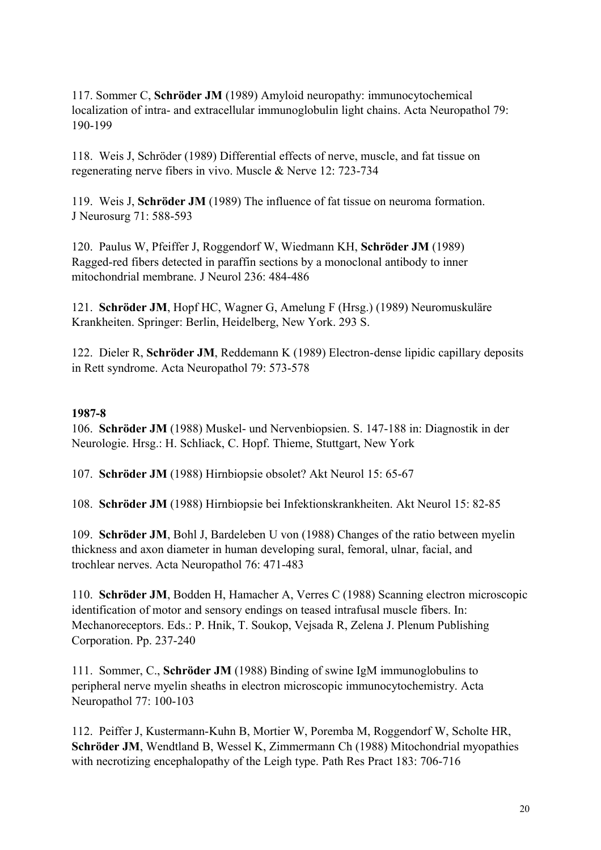117. Sommer C, **Schröder JM** (1989) Amyloid neuropathy: immunocytochemical localization of intra- and extracellular immunoglobulin light chains. Acta Neuropathol 79: 190-199

118. Weis J, Schröder (1989) Differential effects of nerve, muscle, and fat tissue on regenerating nerve fibers in vivo. Muscle & Nerve 12: 723-734

119. Weis J, **Schröder JM** (1989) The influence of fat tissue on neuroma formation. J Neurosurg 71: 588-593

120. Paulus W, Pfeiffer J, Roggendorf W, Wiedmann KH, **Schröder JM** (1989) Ragged-red fibers detected in paraffin sections by a monoclonal antibody to inner mitochondrial membrane. J Neurol 236: 484-486

121. **Schröder JM**, Hopf HC, Wagner G, Amelung F (Hrsg.) (1989) Neuromuskuläre Krankheiten. Springer: Berlin, Heidelberg, New York. 293 S.

122. Dieler R, **Schröder JM**, Reddemann K (1989) Electron-dense lipidic capillary deposits in Rett syndrome. Acta Neuropathol 79: 573-578

### **1987-8**

106. **Schröder JM** (1988) Muskel- und Nervenbiopsien. S. 147-188 in: Diagnostik in der Neurologie. Hrsg.: H. Schliack, C. Hopf. Thieme, Stuttgart, New York

107. **Schröder JM** (1988) Hirnbiopsie obsolet? Akt Neurol 15: 65-67

108. **Schröder JM** (1988) Hirnbiopsie bei Infektionskrankheiten. Akt Neurol 15: 82-85

109. **Schröder JM**, Bohl J, Bardeleben U von (1988) Changes of the ratio between myelin thickness and axon diameter in human developing sural, femoral, ulnar, facial, and trochlear nerves. Acta Neuropathol 76: 471-483

110. **Schröder JM**, Bodden H, Hamacher A, Verres C (1988) Scanning electron microscopic identification of motor and sensory endings on teased intrafusal muscle fibers. In: Mechanoreceptors. Eds.: P. Hnik, T. Soukop, Vejsada R, Zelena J. Plenum Publishing Corporation. Pp. 237-240

111. Sommer, C., **Schröder JM** (1988) Binding of swine IgM immunoglobulins to peripheral nerve myelin sheaths in electron microscopic immunocytochemistry. Acta Neuropathol 77: 100-103

112. Peiffer J, Kustermann-Kuhn B, Mortier W, Poremba M, Roggendorf W, Scholte HR, **Schröder JM**, Wendtland B, Wessel K, Zimmermann Ch (1988) Mitochondrial myopathies with necrotizing encephalopathy of the Leigh type. Path Res Pract 183: 706-716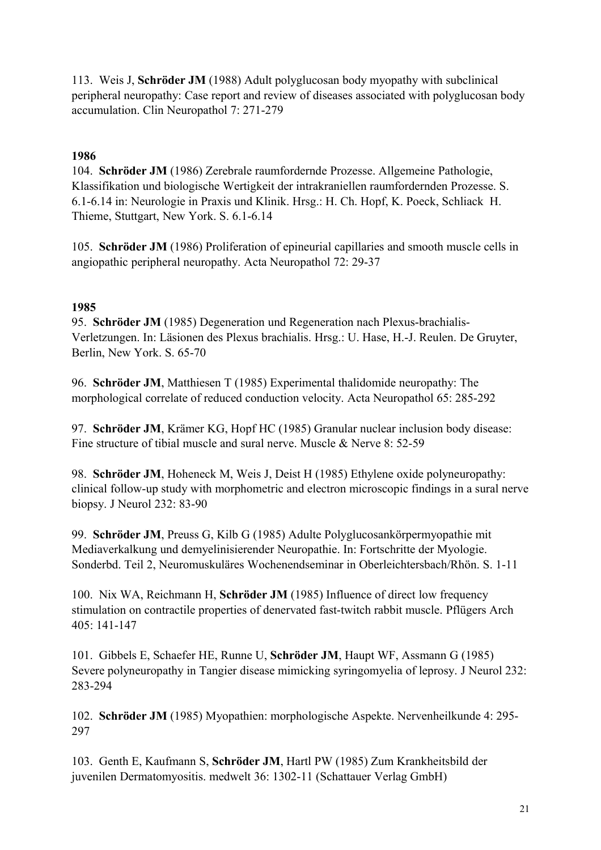113. Weis J, **Schröder JM** (1988) Adult polyglucosan body myopathy with subclinical peripheral neuropathy: Case report and review of diseases associated with polyglucosan body accumulation. Clin Neuropathol 7: 271-279

### **1986**

104. **Schröder JM** (1986) Zerebrale raumfordernde Prozesse. Allgemeine Pathologie, Klassifikation und biologische Wertigkeit der intrakraniellen raumfordernden Prozesse. S. 6.1-6.14 in: Neurologie in Praxis und Klinik. Hrsg.: H. Ch. Hopf, K. Poeck, Schliack H. Thieme, Stuttgart, New York. S. 6.1-6.14

105. **Schröder JM** (1986) Proliferation of epineurial capillaries and smooth muscle cells in angiopathic peripheral neuropathy. Acta Neuropathol 72: 29-37

#### **1985**

95. **Schröder JM** (1985) Degeneration und Regeneration nach Plexus-brachialis-Verletzungen. In: Läsionen des Plexus brachialis. Hrsg.: U. Hase, H.-J. Reulen. De Gruyter, Berlin, New York. S. 65-70

96. **Schröder JM**, Matthiesen T (1985) Experimental thalidomide neuropathy: The morphological correlate of reduced conduction velocity. Acta Neuropathol 65: 285-292

97. **Schröder JM**, Krämer KG, Hopf HC (1985) Granular nuclear inclusion body disease: Fine structure of tibial muscle and sural nerve. Muscle & Nerve 8: 52-59

98. **Schröder JM**, Hoheneck M, Weis J, Deist H (1985) Ethylene oxide polyneuropathy: clinical follow-up study with morphometric and electron microscopic findings in a sural nerve biopsy. J Neurol 232: 83-90

99. **Schröder JM**, Preuss G, Kilb G (1985) Adulte Polyglucosankörpermyopathie mit Mediaverkalkung und demyelinisierender Neuropathie. In: Fortschritte der Myologie. Sonderbd. Teil 2, Neuromuskuläres Wochenendseminar in Oberleichtersbach/Rhön. S. 1-11

100. Nix WA, Reichmann H, **Schröder JM** (1985) Influence of direct low frequency stimulation on contractile properties of denervated fast-twitch rabbit muscle. Pflügers Arch  $405 \cdot 141 - 147$ 

101. Gibbels E, Schaefer HE, Runne U, **Schröder JM**, Haupt WF, Assmann G (1985) Severe polyneuropathy in Tangier disease mimicking syringomyelia of leprosy. J Neurol 232: 283-294

102. **Schröder JM** (1985) Myopathien: morphologische Aspekte. Nervenheilkunde 4: 295- 297

103. Genth E, Kaufmann S, **Schröder JM**, Hartl PW (1985) Zum Krankheitsbild der juvenilen Dermatomyositis. medwelt 36: 1302-11 (Schattauer Verlag GmbH)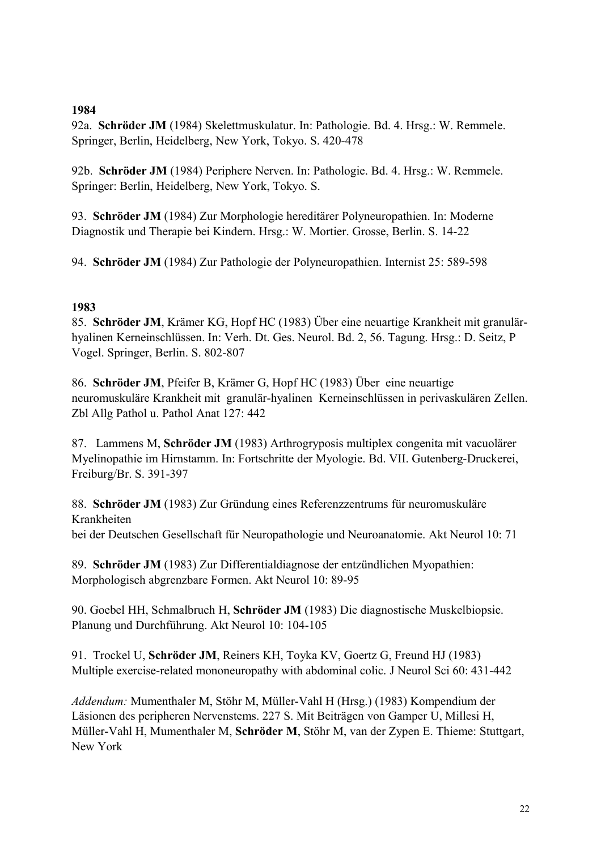#### **1984**

92a. **Schröder JM** (1984) Skelettmuskulatur. In: Pathologie. Bd. 4. Hrsg.: W. Remmele. Springer, Berlin, Heidelberg, New York, Tokyo. S. 420-478

92b. **Schröder JM** (1984) Periphere Nerven. In: Pathologie. Bd. 4. Hrsg.: W. Remmele. Springer: Berlin, Heidelberg, New York, Tokyo. S.

93. **Schröder JM** (1984) Zur Morphologie hereditärer Polyneuropathien. In: Moderne Diagnostik und Therapie bei Kindern. Hrsg.: W. Mortier. Grosse, Berlin. S. 14-22

94. **Schröder JM** (1984) Zur Pathologie der Polyneuropathien. Internist 25: 589-598

## **1983**

85. **Schröder JM**, Krämer KG, Hopf HC (1983) Über eine neuartige Krankheit mit granulärhyalinen Kerneinschlüssen. In: Verh. Dt. Ges. Neurol. Bd. 2, 56. Tagung. Hrsg.: D. Seitz, P Vogel. Springer, Berlin. S. 802-807

86. **Schröder JM**, Pfeifer B, Krämer G, Hopf HC (1983) Über eine neuartige neuromuskuläre Krankheit mit granulär-hyalinen Kerneinschlüssen in perivaskulären Zellen. Zbl Allg Pathol u. Pathol Anat 127: 442

87. Lammens M, **Schröder JM** (1983) Arthrogryposis multiplex congenita mit vacuolärer Myelinopathie im Hirnstamm. In: Fortschritte der Myologie. Bd. VII. Gutenberg-Druckerei, Freiburg/Br. S. 391-397

88. **Schröder JM** (1983) Zur Gründung eines Referenzzentrums für neuromuskuläre Krankheiten bei der Deutschen Gesellschaft für Neuropathologie und Neuroanatomie. Akt Neurol 10: 71

89. **Schröder JM** (1983) Zur Differentialdiagnose der entzündlichen Myopathien: Morphologisch abgrenzbare Formen. Akt Neurol 10: 89-95

90. Goebel HH, Schmalbruch H, **Schröder JM** (1983) Die diagnostische Muskelbiopsie. Planung und Durchführung. Akt Neurol 10: 104-105

91. Trockel U, **Schröder JM**, Reiners KH, Toyka KV, Goertz G, Freund HJ (1983) Multiple exercise-related mononeuropathy with abdominal colic. J Neurol Sci 60: 431-442

*Addendum:* Mumenthaler M, Stöhr M, Müller-Vahl H (Hrsg.) (1983) Kompendium der Läsionen des peripheren Nervenstems. 227 S. Mit Beiträgen von Gamper U, Millesi H, Müller-Vahl H, Mumenthaler M, **Schröder M**, Stöhr M, van der Zypen E. Thieme: Stuttgart, New York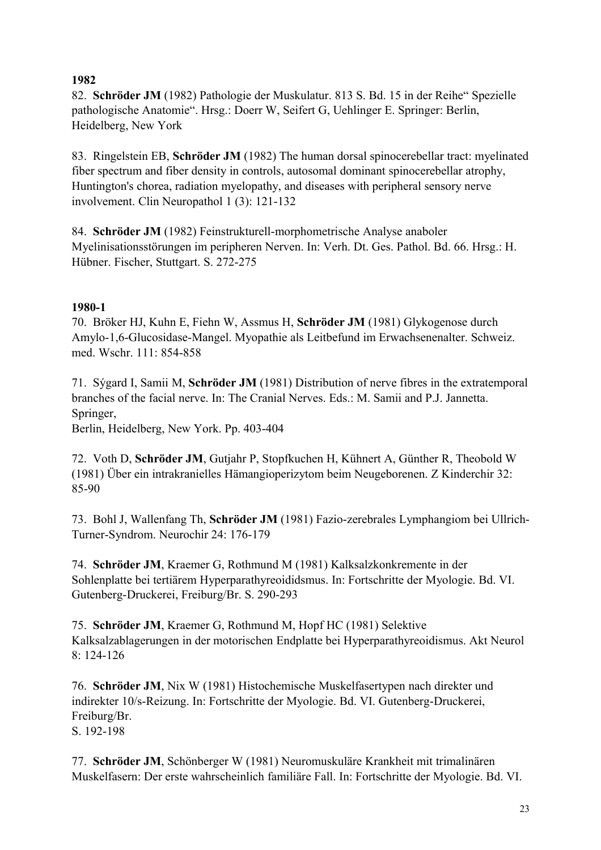## **1982**

82. **Schröder JM** (1982) Pathologie der Muskulatur. 813 S. Bd. 15 in der Reihe" Spezielle pathologische Anatomie". Hrsg.: Doerr W, Seifert G, Uehlinger E. Springer: Berlin, Heidelberg, New York

83. Ringelstein EB, **Schröder JM** (1982) The human dorsal spinocerebellar tract: myelinated fiber spectrum and fiber density in controls, autosomal dominant spinocerebellar atrophy, Huntington's chorea, radiation myelopathy, and diseases with peripheral sensory nerve involvement. Clin Neuropathol 1 (3): 121-132

84. **Schröder JM** (1982) Feinstrukturell-morphometrische Analyse anaboler Myelinisationsstörungen im peripheren Nerven. In: Verh. Dt. Ges. Pathol. Bd. 66. Hrsg.: H. Hübner. Fischer, Stuttgart. S. 272-275

## **1980-1**

70. Bröker HJ, Kuhn E, Fiehn W, Assmus H, **Schröder JM** (1981) Glykogenose durch Amylo-1,6-Glucosidase-Mangel. Myopathie als Leitbefund im Erwachsenenalter. Schweiz. med. Wschr. 111: 854-858

71. Sýgard I, Samii M, **Schröder JM** (1981) Distribution of nerve fibres in the extratemporal branches of the facial nerve. In: The Cranial Nerves. Eds.: M. Samii and P.J. Jannetta. Springer,

Berlin, Heidelberg, New York. Pp. 403-404

72. Voth D, **Schröder JM**, Gutjahr P, Stopfkuchen H, Kühnert A, Günther R, Theobold W (1981) Über ein intrakranielles Hämangioperizytom beim Neugeborenen. Z Kinderchir 32: 85-90

73. Bohl J, Wallenfang Th, **Schröder JM** (1981) Fazio-zerebrales Lymphangiom bei Ullrich-Turner-Syndrom. Neurochir 24: 176-179

74. **Schröder JM**, Kraemer G, Rothmund M (1981) Kalksalzkonkremente in der Sohlenplatte bei tertiärem Hyperparathyreoididsmus. In: Fortschritte der Myologie. Bd. VI. Gutenberg-Druckerei, Freiburg/Br. S. 290-293

75. **Schröder JM**, Kraemer G, Rothmund M, Hopf HC (1981) Selektive Kalksalzablagerungen in der motorischen Endplatte bei Hyperparathyreoidismus. Akt Neurol  $8:124-126$ 

76. **Schröder JM**, Nix W (1981) Histochemische Muskelfasertypen nach direkter und indirekter 10/s-Reizung. In: Fortschritte der Myologie. Bd. VI. Gutenberg-Druckerei, Freiburg/Br. S. 192-198

77. **Schröder JM**, Schönberger W (1981) Neuromuskuläre Krankheit mit trimalinären Muskelfasern: Der erste wahrscheinlich familiäre Fall. In: Fortschritte der Myologie. Bd. VI.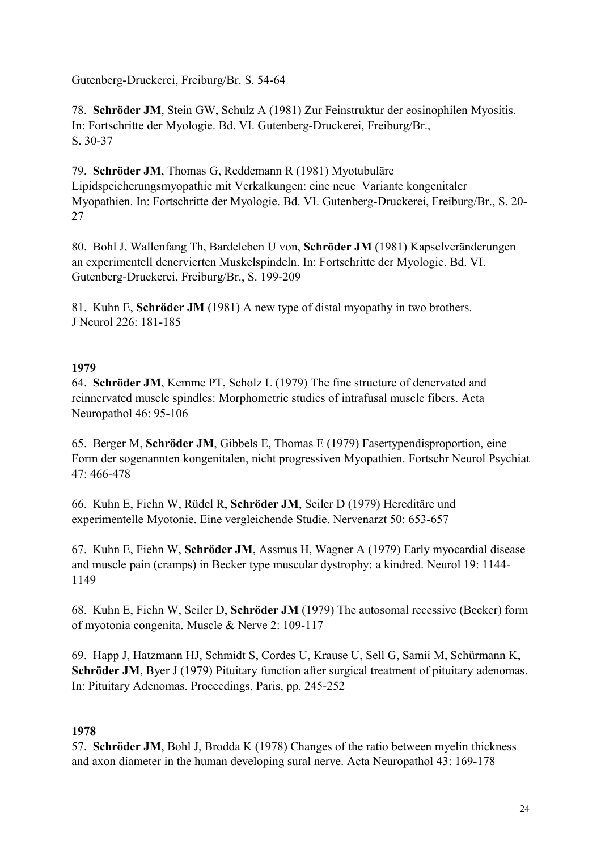Gutenberg-Druckerei, Freiburg/Br. S. 54-64

78. **Schröder JM**, Stein GW, Schulz A (1981) Zur Feinstruktur der eosinophilen Myositis. In: Fortschritte der Myologie. Bd. VI. Gutenberg-Druckerei, Freiburg/Br., S. 30-37

79. **Schröder JM**, Thomas G, Reddemann R (1981) Myotubuläre Lipidspeicherungsmyopathie mit Verkalkungen: eine neue Variante kongenitaler Myopathien. In: Fortschritte der Myologie. Bd. VI. Gutenberg-Druckerei, Freiburg/Br., S. 20- 27

80. Bohl J, Wallenfang Th, Bardeleben U von, **Schröder JM** (1981) Kapselveränderungen an experimentell denervierten Muskelspindeln. In: Fortschritte der Myologie. Bd. VI. Gutenberg-Druckerei, Freiburg/Br., S. 199-209

81. Kuhn E, **Schröder JM** (1981) A new type of distal myopathy in two brothers. J Neurol 226: 181-185

### **1979**

64. **Schröder JM**, Kemme PT, Scholz L (1979) The fine structure of denervated and reinnervated muscle spindles: Morphometric studies of intrafusal muscle fibers. Acta Neuropathol 46: 95-106

65. Berger M, **Schröder JM**, Gibbels E, Thomas E (1979) Fasertypendisproportion, eine Form der sogenannten kongenitalen, nicht progressiven Myopathien. Fortschr Neurol Psychiat  $47 \cdot 466 - 478$ 

66. Kuhn E, Fiehn W, Rüdel R, **Schröder JM**, Seiler D (1979) Hereditäre und experimentelle Myotonie. Eine vergleichende Studie. Nervenarzt 50: 653-657

67. Kuhn E, Fiehn W, **Schröder JM**, Assmus H, Wagner A (1979) Early myocardial disease and muscle pain (cramps) in Becker type muscular dystrophy: a kindred. Neurol 19: 1144- 1149

68. Kuhn E, Fiehn W, Seiler D, **Schröder JM** (1979) The autosomal recessive (Becker) form of myotonia congenita. Muscle & Nerve 2: 109-117

69. Happ J, Hatzmann HJ, Schmidt S, Cordes U, Krause U, Sell G, Samii M, Schürmann K, **Schröder JM**, Byer J (1979) Pituitary function after surgical treatment of pituitary adenomas. In: Pituitary Adenomas. Proceedings, Paris, pp. 245-252

## **1978**

57. **Schröder JM**, Bohl J, Brodda K (1978) Changes of the ratio between myelin thickness and axon diameter in the human developing sural nerve. Acta Neuropathol 43: 169-178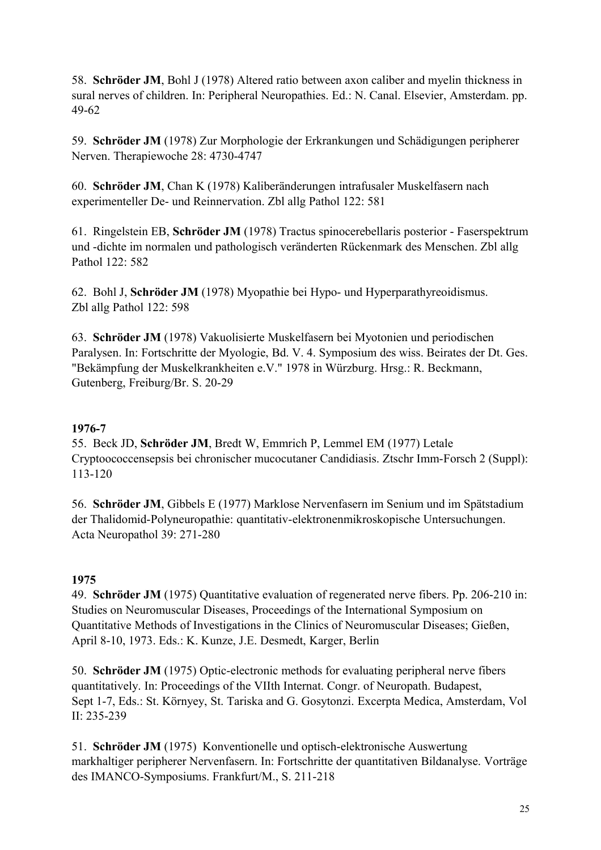58. **Schröder JM**, Bohl J (1978) Altered ratio between axon caliber and myelin thickness in sural nerves of children. In: Peripheral Neuropathies. Ed.: N. Canal. Elsevier, Amsterdam. pp. 49-62

59. **Schröder JM** (1978) Zur Morphologie der Erkrankungen und Schädigungen peripherer Nerven. Therapiewoche 28: 4730-4747

60. **Schröder JM**, Chan K (1978) Kaliberänderungen intrafusaler Muskelfasern nach experimenteller De- und Reinnervation. Zbl allg Pathol 122: 581

61. Ringelstein EB, **Schröder JM** (1978) Tractus spinocerebellaris posterior - Faserspektrum und -dichte im normalen und pathologisch veränderten Rückenmark des Menschen. Zbl allg Pathol 122: 582

62. Bohl J, **Schröder JM** (1978) Myopathie bei Hypo- und Hyperparathyreoidismus. Zbl allg Pathol 122: 598

63. **Schröder JM** (1978) Vakuolisierte Muskelfasern bei Myotonien und periodischen Paralysen. In: Fortschritte der Myologie, Bd. V. 4. Symposium des wiss. Beirates der Dt. Ges. "Bekämpfung der Muskelkrankheiten e.V." 1978 in Würzburg. Hrsg.: R. Beckmann, Gutenberg, Freiburg/Br. S. 20-29

## **1976-7**

55. Beck JD, **Schröder JM**, Bredt W, Emmrich P, Lemmel EM (1977) Letale Cryptoococcensepsis bei chronischer mucocutaner Candidiasis. Ztschr Imm-Forsch 2 (Suppl): 113-120

56. **Schröder JM**, Gibbels E (1977) Marklose Nervenfasern im Senium und im Spätstadium der Thalidomid-Polyneuropathie: quantitativ-elektronenmikroskopische Untersuchungen. Acta Neuropathol 39: 271-280

## **1975**

49. **Schröder JM** (1975) Quantitative evaluation of regenerated nerve fibers. Pp. 206-210 in: Studies on Neuromuscular Diseases, Proceedings of the International Symposium on Quantitative Methods of Investigations in the Clinics of Neuromuscular Diseases; Gießen, April 8-10, 1973. Eds.: K. Kunze, J.E. Desmedt, Karger, Berlin

50. **Schröder JM** (1975) Optic-electronic methods for evaluating peripheral nerve fibers quantitatively. In: Proceedings of the VIIth Internat. Congr. of Neuropath. Budapest, Sept 1-7, Eds.: St. Környey, St. Tariska and G. Gosytonzi. Excerpta Medica, Amsterdam, Vol II: 235-239

51. **Schröder JM** (1975) Konventionelle und optisch-elektronische Auswertung markhaltiger peripherer Nervenfasern. In: Fortschritte der quantitativen Bildanalyse. Vorträge des IMANCO-Symposiums. Frankfurt/M., S. 211-218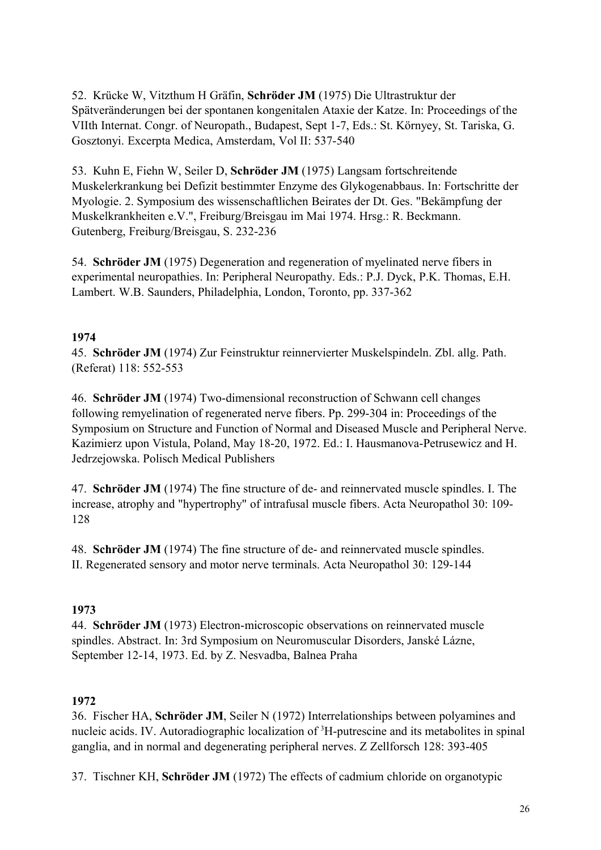52. Krücke W, Vitzthum H Gräfin, **Schröder JM** (1975) Die Ultrastruktur der Spätveränderungen bei der spontanen kongenitalen Ataxie der Katze. In: Proceedings of the VIIth Internat. Congr. of Neuropath., Budapest, Sept 1-7, Eds.: St. Környey, St. Tariska, G. Gosztonyi. Excerpta Medica, Amsterdam, Vol II: 537-540

53. Kuhn E, Fiehn W, Seiler D, **Schröder JM** (1975) Langsam fortschreitende Muskelerkrankung bei Defizit bestimmter Enzyme des Glykogenabbaus. In: Fortschritte der Myologie. 2. Symposium des wissenschaftlichen Beirates der Dt. Ges. "Bekämpfung der Muskelkrankheiten e.V.", Freiburg/Breisgau im Mai 1974. Hrsg.: R. Beckmann. Gutenberg, Freiburg/Breisgau, S. 232-236

54. **Schröder JM** (1975) Degeneration and regeneration of myelinated nerve fibers in experimental neuropathies. In: Peripheral Neuropathy. Eds.: P.J. Dyck, P.K. Thomas, E.H. Lambert. W.B. Saunders, Philadelphia, London, Toronto, pp. 337-362

## **1974**

45. **Schröder JM** (1974) Zur Feinstruktur reinnervierter Muskelspindeln. Zbl. allg. Path. (Referat) 118: 552-553

46. **Schröder JM** (1974) Two-dimensional reconstruction of Schwann cell changes following remyelination of regenerated nerve fibers. Pp. 299-304 in: Proceedings of the Symposium on Structure and Function of Normal and Diseased Muscle and Peripheral Nerve. Kazimierz upon Vistula, Poland, May 18-20, 1972. Ed.: I. Hausmanova-Petrusewicz and H. Jedrzejowska. Polisch Medical Publishers

47. **Schröder JM** (1974) The fine structure of de- and reinnervated muscle spindles. I. The increase, atrophy and "hypertrophy" of intrafusal muscle fibers. Acta Neuropathol 30: 109- 128

48. **Schröder JM** (1974) The fine structure of de- and reinnervated muscle spindles. II. Regenerated sensory and motor nerve terminals. Acta Neuropathol 30: 129-144

# **1973**

44. **Schröder JM** (1973) Electron-microscopic observations on reinnervated muscle spindles. Abstract. In: 3rd Symposium on Neuromuscular Disorders, Janské Lázne, September 12-14, 1973. Ed. by Z. Nesvadba, Balnea Praha

# **1972**

36. Fischer HA, **Schröder JM**, Seiler N (1972) Interrelationships between polyamines and nucleic acids. IV. Autoradiographic localization of <sup>3</sup>H-putrescine and its metabolites in spinal ganglia, and in normal and degenerating peripheral nerves. Z Zellforsch 128: 393-405

37. Tischner KH, **Schröder JM** (1972) The effects of cadmium chloride on organotypic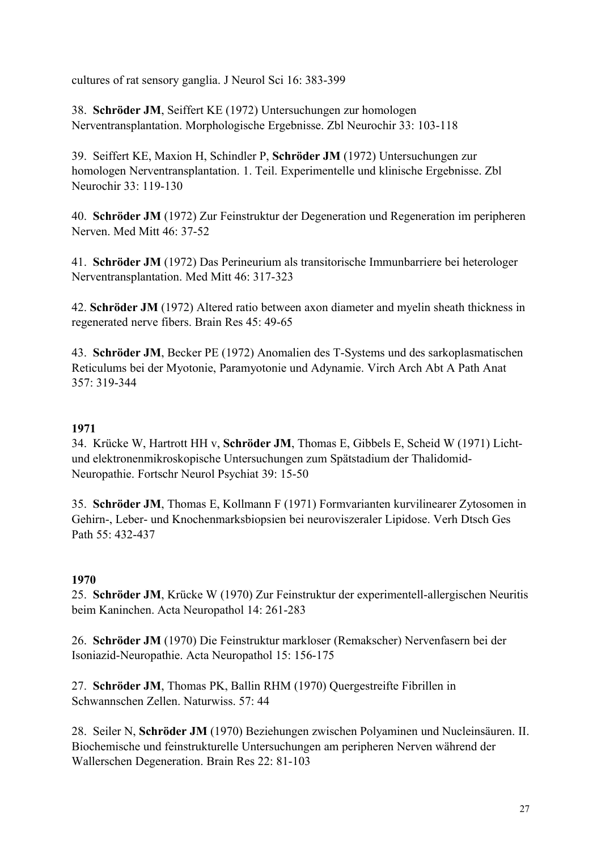cultures of rat sensory ganglia. J Neurol Sci 16: 383-399

38. **Schröder JM**, Seiffert KE (1972) Untersuchungen zur homologen Nerventransplantation. Morphologische Ergebnisse. Zbl Neurochir 33: 103-118

39. Seiffert KE, Maxion H, Schindler P, **Schröder JM** (1972) Untersuchungen zur homologen Nerventransplantation. 1. Teil. Experimentelle und klinische Ergebnisse. Zbl Neurochir 33: 119-130

40. **Schröder JM** (1972) Zur Feinstruktur der Degeneration und Regeneration im peripheren Nerven. Med Mitt 46: 37-52

41. **Schröder JM** (1972) Das Perineurium als transitorische Immunbarriere bei heterologer Nerventransplantation. Med Mitt 46: 317-323

42. **Schröder JM** (1972) Altered ratio between axon diameter and myelin sheath thickness in regenerated nerve fibers. Brain Res 45: 49-65

43. **Schröder JM**, Becker PE (1972) Anomalien des T-Systems und des sarkoplasmatischen Reticulums bei der Myotonie, Paramyotonie und Adynamie. Virch Arch Abt A Path Anat 357: 319-344

## **1971**

34. Krücke W, Hartrott HH v, **Schröder JM**, Thomas E, Gibbels E, Scheid W (1971) Lichtund elektronenmikroskopische Untersuchungen zum Spätstadium der Thalidomid-Neuropathie. Fortschr Neurol Psychiat 39: 15-50

35. **Schröder JM**, Thomas E, Kollmann F (1971) Formvarianten kurvilinearer Zytosomen in Gehirn-, Leber- und Knochenmarksbiopsien bei neuroviszeraler Lipidose. Verh Dtsch Ges Path 55: 432-437

## **1970**

25. **Schröder JM**, Krücke W (1970) Zur Feinstruktur der experimentell-allergischen Neuritis beim Kaninchen. Acta Neuropathol 14: 261-283

26. **Schröder JM** (1970) Die Feinstruktur markloser (Remakscher) Nervenfasern bei der Isoniazid-Neuropathie. Acta Neuropathol 15: 156-175

27. **Schröder JM**, Thomas PK, Ballin RHM (1970) Quergestreifte Fibrillen in Schwannschen Zellen. Naturwiss. 57: 44

28. Seiler N, **Schröder JM** (1970) Beziehungen zwischen Polyaminen und Nucleinsäuren. II. Biochemische und feinstrukturelle Untersuchungen am peripheren Nerven während der Wallerschen Degeneration. Brain Res 22: 81-103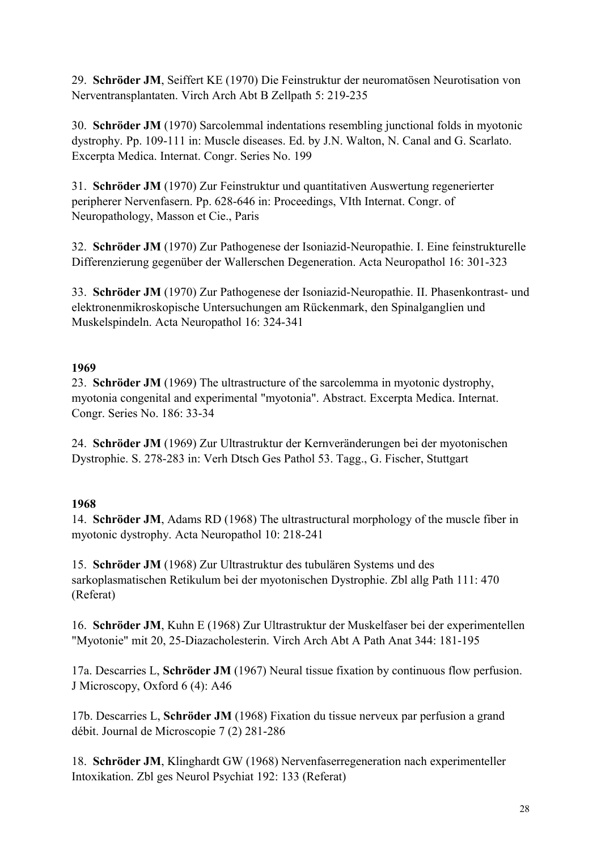29. **Schröder JM**, Seiffert KE (1970) Die Feinstruktur der neuromatösen Neurotisation von Nerventransplantaten. Virch Arch Abt B Zellpath 5: 219-235

30. **Schröder JM** (1970) Sarcolemmal indentations resembling junctional folds in myotonic dystrophy. Pp. 109-111 in: Muscle diseases. Ed. by J.N. Walton, N. Canal and G. Scarlato. Excerpta Medica. Internat. Congr. Series No. 199

31. **Schröder JM** (1970) Zur Feinstruktur und quantitativen Auswertung regenerierter peripherer Nervenfasern. Pp. 628-646 in: Proceedings, VIth Internat. Congr. of Neuropathology, Masson et Cie., Paris

32. **Schröder JM** (1970) Zur Pathogenese der Isoniazid-Neuropathie. I. Eine feinstrukturelle Differenzierung gegenüber der Wallerschen Degeneration. Acta Neuropathol 16: 301-323

33. **Schröder JM** (1970) Zur Pathogenese der Isoniazid-Neuropathie. II. Phasenkontrast- und elektronenmikroskopische Untersuchungen am Rückenmark, den Spinalganglien und Muskelspindeln. Acta Neuropathol 16: 324-341

### **1969**

23. **Schröder JM** (1969) The ultrastructure of the sarcolemma in myotonic dystrophy, myotonia congenital and experimental "myotonia". Abstract. Excerpta Medica. Internat. Congr. Series No. 186: 33-34

24. **Schröder JM** (1969) Zur Ultrastruktur der Kernveränderungen bei der myotonischen Dystrophie. S. 278-283 in: Verh Dtsch Ges Pathol 53. Tagg., G. Fischer, Stuttgart

## **1968**

14. **Schröder JM**, Adams RD (1968) The ultrastructural morphology of the muscle fiber in myotonic dystrophy. Acta Neuropathol 10: 218-241

15. **Schröder JM** (1968) Zur Ultrastruktur des tubulären Systems und des sarkoplasmatischen Retikulum bei der myotonischen Dystrophie. Zbl allg Path 111: 470 (Referat)

16. **Schröder JM**, Kuhn E (1968) Zur Ultrastruktur der Muskelfaser bei der experimentellen "Myotonie" mit 20, 25-Diazacholesterin. Virch Arch Abt A Path Anat 344: 181-195

17a. Descarries L, **Schröder JM** (1967) Neural tissue fixation by continuous flow perfusion. J Microscopy, Oxford 6 (4): A46

17b. Descarries L, **Schröder JM** (1968) Fixation du tissue nerveux par perfusion a grand débit. Journal de Microscopie 7 (2) 281-286

18. **Schröder JM**, Klinghardt GW (1968) Nervenfaserregeneration nach experimenteller Intoxikation. Zbl ges Neurol Psychiat 192: 133 (Referat)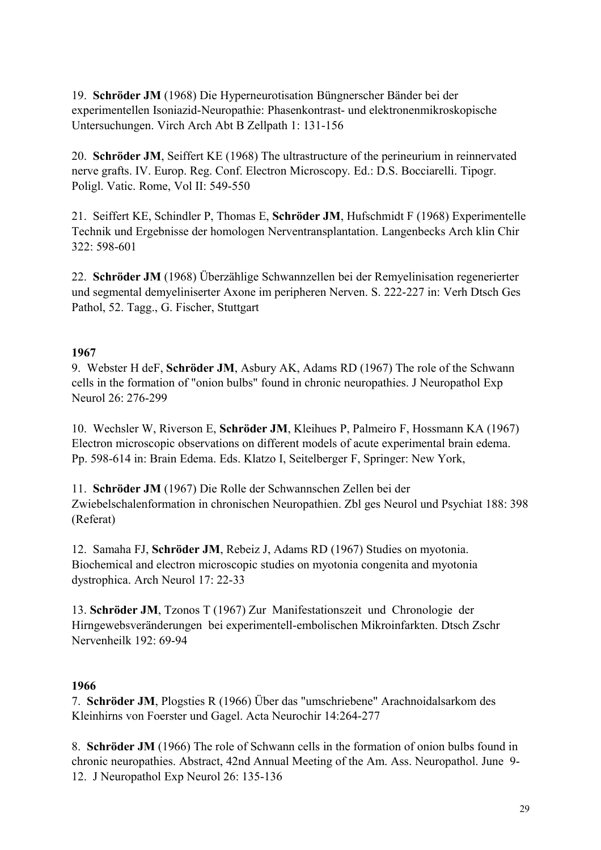19. **Schröder JM** (1968) Die Hyperneurotisation Büngnerscher Bänder bei der experimentellen Isoniazid-Neuropathie: Phasenkontrast- und elektronenmikroskopische Untersuchungen. Virch Arch Abt B Zellpath 1: 131-156

20. **Schröder JM**, Seiffert KE (1968) The ultrastructure of the perineurium in reinnervated nerve grafts. IV. Europ. Reg. Conf. Electron Microscopy. Ed.: D.S. Bocciarelli. Tipogr. Poligl. Vatic. Rome, Vol II: 549-550

21. Seiffert KE, Schindler P, Thomas E, **Schröder JM**, Hufschmidt F (1968) Experimentelle Technik und Ergebnisse der homologen Nerventransplantation. Langenbecks Arch klin Chir 322: 598-601

22. **Schröder JM** (1968) Überzählige Schwannzellen bei der Remyelinisation regenerierter und segmental demyeliniserter Axone im peripheren Nerven. S. 222-227 in: Verh Dtsch Ges Pathol, 52. Tagg., G. Fischer, Stuttgart

## **1967**

9. Webster H deF, **Schröder JM**, Asbury AK, Adams RD (1967) The role of the Schwann cells in the formation of "onion bulbs" found in chronic neuropathies. J Neuropathol Exp Neurol 26: 276-299

10. Wechsler W, Riverson E, **Schröder JM**, Kleihues P, Palmeiro F, Hossmann KA (1967) Electron microscopic observations on different models of acute experimental brain edema. Pp. 598-614 in: Brain Edema. Eds. Klatzo I, Seitelberger F, Springer: New York,

11. **Schröder JM** (1967) Die Rolle der Schwannschen Zellen bei der Zwiebelschalenformation in chronischen Neuropathien. Zbl ges Neurol und Psychiat 188: 398 (Referat)

12. Samaha FJ, **Schröder JM**, Rebeiz J, Adams RD (1967) Studies on myotonia. Biochemical and electron microscopic studies on myotonia congenita and myotonia dystrophica. Arch Neurol 17: 22-33

13. **Schröder JM**, Tzonos T (1967) Zur Manifestationszeit und Chronologie der Hirngewebsveränderungen bei experimentell-embolischen Mikroinfarkten. Dtsch Zschr Nervenheilk 192: 69-94

## **1966**

7. **Schröder JM**, Plogsties R (1966) Über das "umschriebene" Arachnoidalsarkom des Kleinhirns von Foerster und Gagel. Acta Neurochir 14:264-277

8. **Schröder JM** (1966) The role of Schwann cells in the formation of onion bulbs found in chronic neuropathies. Abstract, 42nd Annual Meeting of the Am. Ass. Neuropathol. June 9- 12. J Neuropathol Exp Neurol 26: 135-136